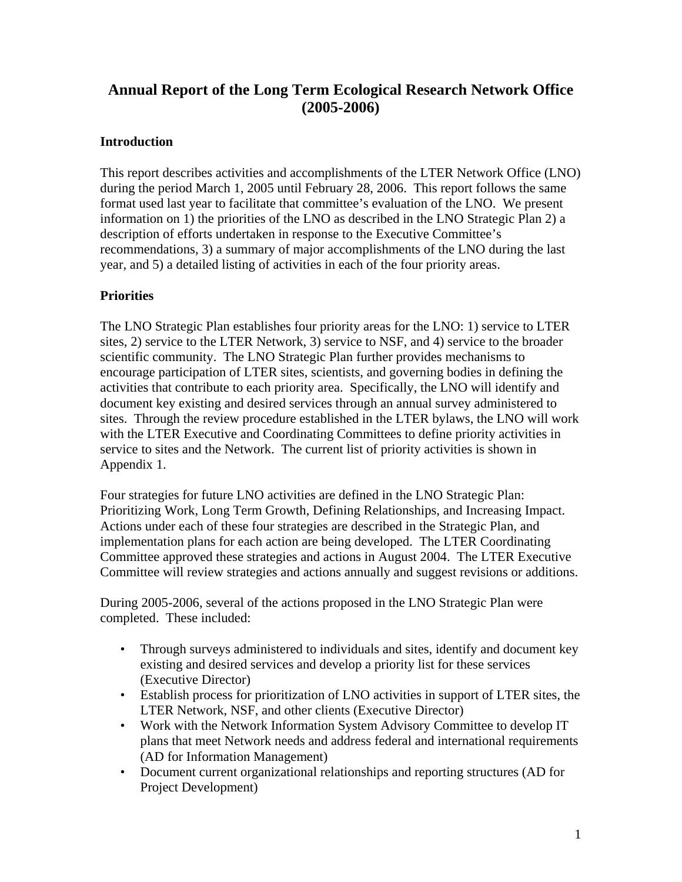# **Annual Report of the Long Term Ecological Research Network Office (2005-2006)**

## **Introduction**

This report describes activities and accomplishments of the LTER Network Office (LNO) during the period March 1, 2005 until February 28, 2006. This report follows the same format used last year to facilitate that committee's evaluation of the LNO. We present information on 1) the priorities of the LNO as described in the LNO Strategic Plan 2) a description of efforts undertaken in response to the Executive Committee's recommendations, 3) a summary of major accomplishments of the LNO during the last year, and 5) a detailed listing of activities in each of the four priority areas.

## **Priorities**

The LNO Strategic Plan establishes four priority areas for the LNO: 1) service to LTER sites, 2) service to the LTER Network, 3) service to NSF, and 4) service to the broader scientific community. The LNO Strategic Plan further provides mechanisms to encourage participation of LTER sites, scientists, and governing bodies in defining the activities that contribute to each priority area. Specifically, the LNO will identify and document key existing and desired services through an annual survey administered to sites. Through the review procedure established in the LTER bylaws, the LNO will work with the LTER Executive and Coordinating Committees to define priority activities in service to sites and the Network. The current list of priority activities is shown in Appendix 1.

Four strategies for future LNO activities are defined in the LNO Strategic Plan: Prioritizing Work, Long Term Growth, Defining Relationships, and Increasing Impact. Actions under each of these four strategies are described in the Strategic Plan, and implementation plans for each action are being developed. The LTER Coordinating Committee approved these strategies and actions in August 2004. The LTER Executive Committee will review strategies and actions annually and suggest revisions or additions.

During 2005-2006, several of the actions proposed in the LNO Strategic Plan were completed. These included:

- Through surveys administered to individuals and sites, identify and document key existing and desired services and develop a priority list for these services (Executive Director)
- Establish process for prioritization of LNO activities in support of LTER sites, the LTER Network, NSF, and other clients (Executive Director)
- Work with the Network Information System Advisory Committee to develop IT plans that meet Network needs and address federal and international requirements (AD for Information Management)
- Document current organizational relationships and reporting structures (AD for Project Development)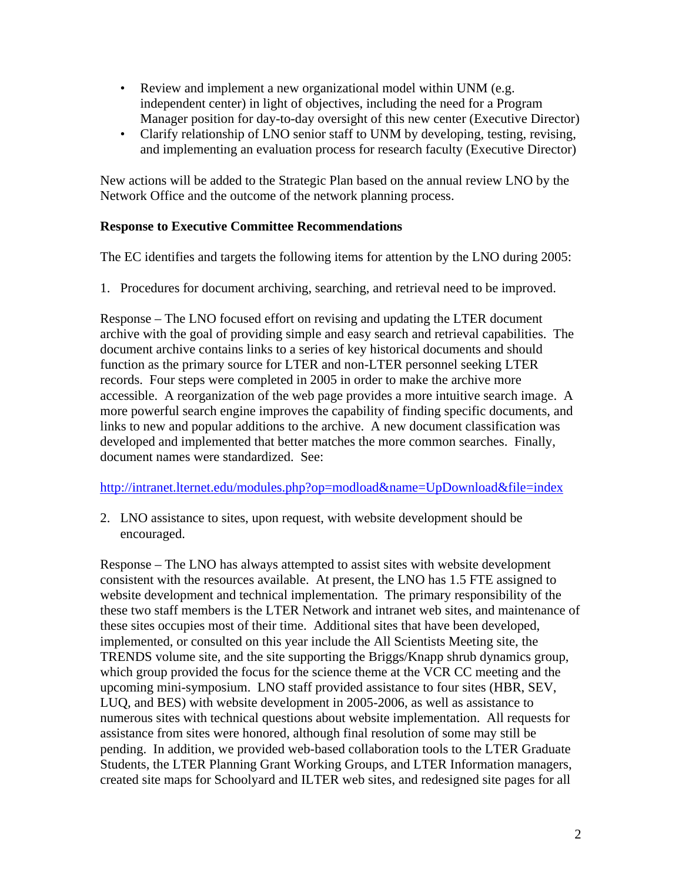- Review and implement a new organizational model within UNM (e.g. independent center) in light of objectives, including the need for a Program Manager position for day-to-day oversight of this new center (Executive Director)
- Clarify relationship of LNO senior staff to UNM by developing, testing, revising, and implementing an evaluation process for research faculty (Executive Director)

New actions will be added to the Strategic Plan based on the annual review LNO by the Network Office and the outcome of the network planning process.

#### **Response to Executive Committee Recommendations**

The EC identifies and targets the following items for attention by the LNO during 2005:

1. Procedures for document archiving, searching, and retrieval need to be improved.

Response – The LNO focused effort on revising and updating the LTER document archive with the goal of providing simple and easy search and retrieval capabilities. The document archive contains links to a series of key historical documents and should function as the primary source for LTER and non-LTER personnel seeking LTER records. Four steps were completed in 2005 in order to make the archive more accessible. A reorganization of the web page provides a more intuitive search image. A more powerful search engine improves the capability of finding specific documents, and links to new and popular additions to the archive. A new document classification was developed and implemented that better matches the more common searches. Finally, document names were standardized. See:

<http://intranet.lternet.edu/modules.php?op=modload&name=UpDownload&file=index>

2. LNO assistance to sites, upon request, with website development should be encouraged.

Response – The LNO has always attempted to assist sites with website development consistent with the resources available. At present, the LNO has 1.5 FTE assigned to website development and technical implementation. The primary responsibility of the these two staff members is the LTER Network and intranet web sites, and maintenance of these sites occupies most of their time. Additional sites that have been developed, implemented, or consulted on this year include the All Scientists Meeting site, the TRENDS volume site, and the site supporting the Briggs/Knapp shrub dynamics group, which group provided the focus for the science theme at the VCR CC meeting and the upcoming mini-symposium. LNO staff provided assistance to four sites (HBR, SEV, LUQ, and BES) with website development in 2005-2006, as well as assistance to numerous sites with technical questions about website implementation. All requests for assistance from sites were honored, although final resolution of some may still be pending. In addition, we provided web-based collaboration tools to the LTER Graduate Students, the LTER Planning Grant Working Groups, and LTER Information managers, created site maps for Schoolyard and ILTER web sites, and redesigned site pages for all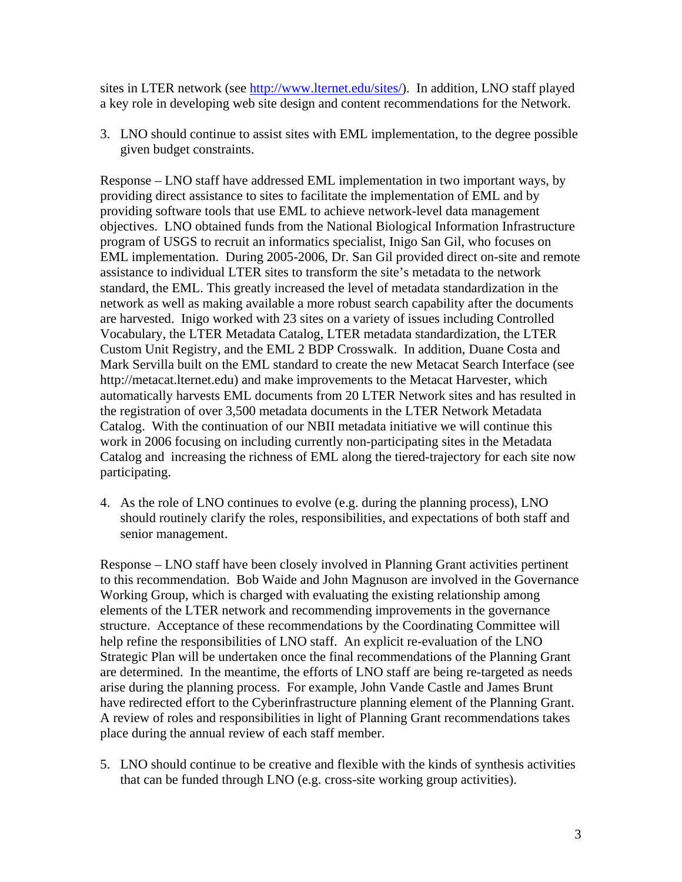sites in LTER network (see [http://www.lternet.edu/sites/\)](http://www.lternet.edu/sites/). In addition, LNO staff played a key role in developing web site design and content recommendations for the Network.

3. LNO should continue to assist sites with EML implementation, to the degree possible given budget constraints.

Response – LNO staff have addressed EML implementation in two important ways, by providing direct assistance to sites to facilitate the implementation of EML and by providing software tools that use EML to achieve network-level data management objectives. LNO obtained funds from the National Biological Information Infrastructure program of USGS to recruit an informatics specialist, Inigo San Gil, who focuses on EML implementation. During 2005-2006, Dr. San Gil provided direct on-site and remote assistance to individual LTER sites to transform the site's metadata to the network standard, the EML. This greatly increased the level of metadata standardization in the network as well as making available a more robust search capability after the documents are harvested. Inigo worked with 23 sites on a variety of issues including Controlled Vocabulary, the LTER Metadata Catalog, LTER metadata standardization, the LTER Custom Unit Registry, and the EML 2 BDP Crosswalk. In addition, Duane Costa and Mark Servilla built on the EML standard to create the new Metacat Search Interface (see http://metacat.lternet.edu) and make improvements to the Metacat Harvester, which automatically harvests EML documents from 20 LTER Network sites and has resulted in the registration of over 3,500 metadata documents in the LTER Network Metadata Catalog. With the continuation of our NBII metadata initiative we will continue this work in 2006 focusing on including currently non-participating sites in the Metadata Catalog and increasing the richness of EML along the tiered-trajectory for each site now participating.

4. As the role of LNO continues to evolve (e.g. during the planning process), LNO should routinely clarify the roles, responsibilities, and expectations of both staff and senior management.

Response – LNO staff have been closely involved in Planning Grant activities pertinent to this recommendation. Bob Waide and John Magnuson are involved in the Governance Working Group, which is charged with evaluating the existing relationship among elements of the LTER network and recommending improvements in the governance structure. Acceptance of these recommendations by the Coordinating Committee will help refine the responsibilities of LNO staff. An explicit re-evaluation of the LNO Strategic Plan will be undertaken once the final recommendations of the Planning Grant are determined. In the meantime, the efforts of LNO staff are being re-targeted as needs arise during the planning process. For example, John Vande Castle and James Brunt have redirected effort to the Cyberinfrastructure planning element of the Planning Grant. A review of roles and responsibilities in light of Planning Grant recommendations takes place during the annual review of each staff member.

5. LNO should continue to be creative and flexible with the kinds of synthesis activities that can be funded through LNO (e.g. cross-site working group activities).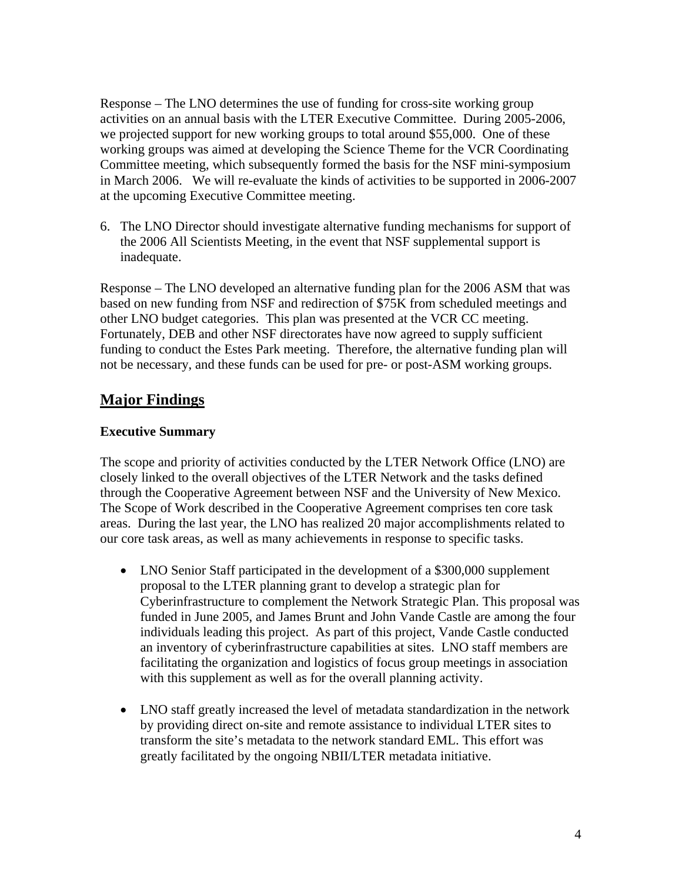Response – The LNO determines the use of funding for cross-site working group activities on an annual basis with the LTER Executive Committee. During 2005-2006, we projected support for new working groups to total around \$55,000. One of these working groups was aimed at developing the Science Theme for the VCR Coordinating Committee meeting, which subsequently formed the basis for the NSF mini-symposium in March 2006. We will re-evaluate the kinds of activities to be supported in 2006-2007 at the upcoming Executive Committee meeting.

6. The LNO Director should investigate alternative funding mechanisms for support of the 2006 All Scientists Meeting, in the event that NSF supplemental support is inadequate.

Response – The LNO developed an alternative funding plan for the 2006 ASM that was based on new funding from NSF and redirection of \$75K from scheduled meetings and other LNO budget categories. This plan was presented at the VCR CC meeting. Fortunately, DEB and other NSF directorates have now agreed to supply sufficient funding to conduct the Estes Park meeting. Therefore, the alternative funding plan will not be necessary, and these funds can be used for pre- or post-ASM working groups.

# **Major Findings**

## **Executive Summary**

The scope and priority of activities conducted by the LTER Network Office (LNO) are closely linked to the overall objectives of the LTER Network and the tasks defined through the Cooperative Agreement between NSF and the University of New Mexico. The Scope of Work described in the Cooperative Agreement comprises ten core task areas. During the last year, the LNO has realized 20 major accomplishments related to our core task areas, as well as many achievements in response to specific tasks.

- LNO Senior Staff participated in the development of a \$300,000 supplement proposal to the LTER planning grant to develop a strategic plan for Cyberinfrastructure to complement the Network Strategic Plan. This proposal was funded in June 2005, and James Brunt and John Vande Castle are among the four individuals leading this project. As part of this project, Vande Castle conducted an inventory of cyberinfrastructure capabilities at sites. LNO staff members are facilitating the organization and logistics of focus group meetings in association with this supplement as well as for the overall planning activity.
- LNO staff greatly increased the level of metadata standardization in the network by providing direct on-site and remote assistance to individual LTER sites to transform the site's metadata to the network standard EML. This effort was greatly facilitated by the ongoing NBII/LTER metadata initiative.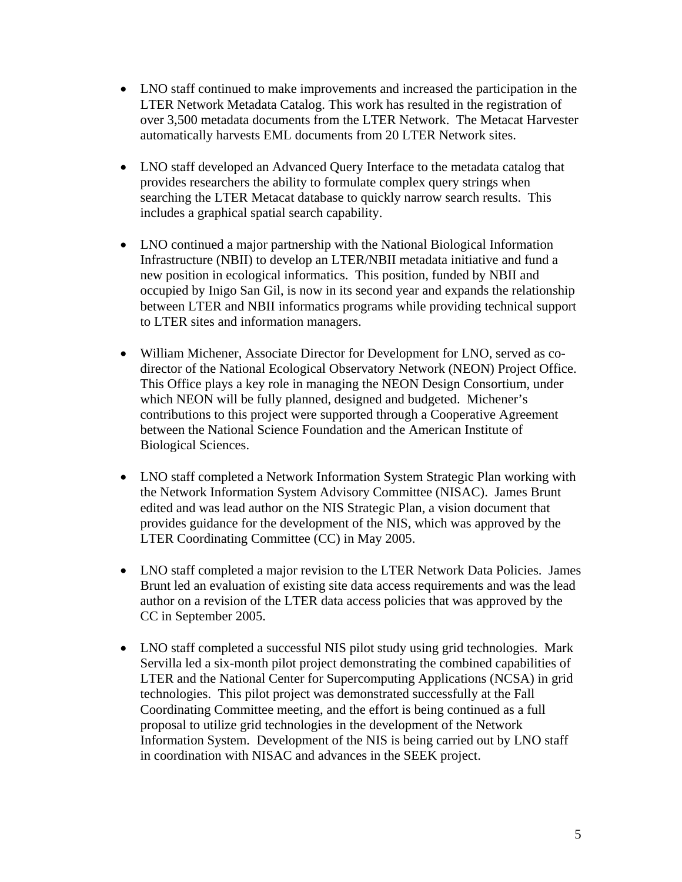- LNO staff continued to make improvements and increased the participation in the LTER Network Metadata Catalog. This work has resulted in the registration of over 3,500 metadata documents from the LTER Network. The Metacat Harvester automatically harvests EML documents from 20 LTER Network sites.
- LNO staff developed an Advanced Query Interface to the metadata catalog that provides researchers the ability to formulate complex query strings when searching the LTER Metacat database to quickly narrow search results. This includes a graphical spatial search capability.
- LNO continued a major partnership with the National Biological Information Infrastructure (NBII) to develop an LTER/NBII metadata initiative and fund a new position in ecological informatics. This position, funded by NBII and occupied by Inigo San Gil, is now in its second year and expands the relationship between LTER and NBII informatics programs while providing technical support to LTER sites and information managers.
- William Michener, Associate Director for Development for LNO, served as codirector of the National Ecological Observatory Network (NEON) Project Office. This Office plays a key role in managing the NEON Design Consortium, under which NEON will be fully planned, designed and budgeted. Michener's contributions to this project were supported through a Cooperative Agreement between the National Science Foundation and the American Institute of Biological Sciences.
- LNO staff completed a Network Information System Strategic Plan working with the Network Information System Advisory Committee (NISAC). James Brunt edited and was lead author on the NIS Strategic Plan, a vision document that provides guidance for the development of the NIS, which was approved by the LTER Coordinating Committee (CC) in May 2005.
- LNO staff completed a major revision to the LTER Network Data Policies. James Brunt led an evaluation of existing site data access requirements and was the lead author on a revision of the LTER data access policies that was approved by the CC in September 2005.
- LNO staff completed a successful NIS pilot study using grid technologies. Mark Servilla led a six-month pilot project demonstrating the combined capabilities of LTER and the National Center for Supercomputing Applications (NCSA) in grid technologies. This pilot project was demonstrated successfully at the Fall Coordinating Committee meeting, and the effort is being continued as a full proposal to utilize grid technologies in the development of the Network Information System. Development of the NIS is being carried out by LNO staff in coordination with NISAC and advances in the SEEK project.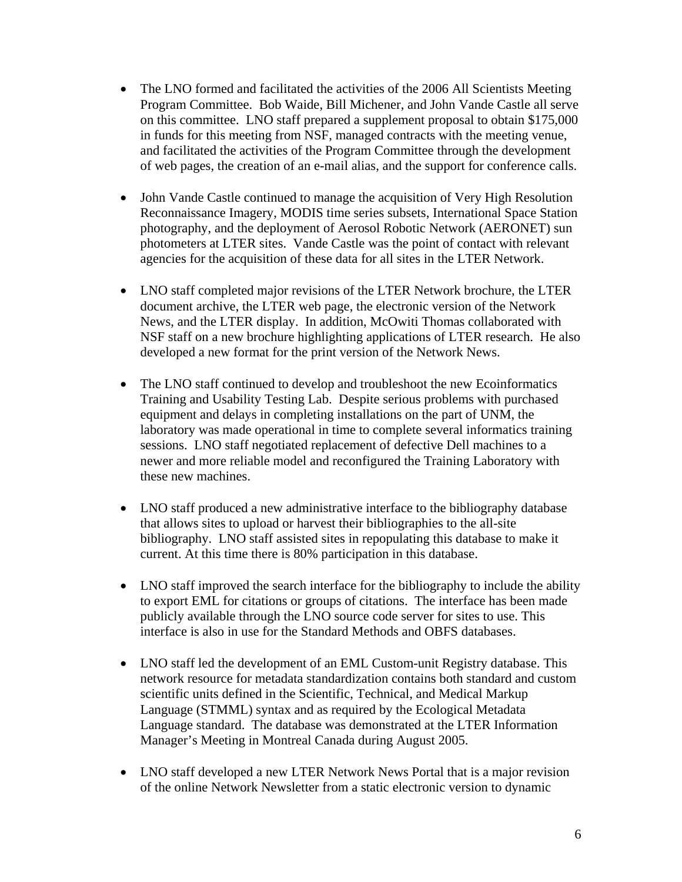- The LNO formed and facilitated the activities of the 2006 All Scientists Meeting Program Committee. Bob Waide, Bill Michener, and John Vande Castle all serve on this committee. LNO staff prepared a supplement proposal to obtain \$175,000 in funds for this meeting from NSF, managed contracts with the meeting venue, and facilitated the activities of the Program Committee through the development of web pages, the creation of an e-mail alias, and the support for conference calls.
- John Vande Castle continued to manage the acquisition of Very High Resolution Reconnaissance Imagery, MODIS time series subsets, International Space Station photography, and the deployment of Aerosol Robotic Network (AERONET) sun photometers at LTER sites. Vande Castle was the point of contact with relevant agencies for the acquisition of these data for all sites in the LTER Network.
- LNO staff completed major revisions of the LTER Network brochure, the LTER document archive, the LTER web page, the electronic version of the Network News, and the LTER display. In addition, McOwiti Thomas collaborated with NSF staff on a new brochure highlighting applications of LTER research. He also developed a new format for the print version of the Network News.
- The LNO staff continued to develop and troubleshoot the new Ecoinformatics Training and Usability Testing Lab. Despite serious problems with purchased equipment and delays in completing installations on the part of UNM, the laboratory was made operational in time to complete several informatics training sessions. LNO staff negotiated replacement of defective Dell machines to a newer and more reliable model and reconfigured the Training Laboratory with these new machines.
- LNO staff produced a new administrative interface to the bibliography database that allows sites to upload or harvest their bibliographies to the all-site bibliography. LNO staff assisted sites in repopulating this database to make it current. At this time there is 80% participation in this database.
- LNO staff improved the search interface for the bibliography to include the ability to export EML for citations or groups of citations. The interface has been made publicly available through the LNO source code server for sites to use. This interface is also in use for the Standard Methods and OBFS databases.
- LNO staff led the development of an EML Custom-unit Registry database. This network resource for metadata standardization contains both standard and custom scientific units defined in the Scientific, Technical, and Medical Markup Language (STMML) syntax and as required by the Ecological Metadata Language standard. The database was demonstrated at the LTER Information Manager's Meeting in Montreal Canada during August 2005.
- LNO staff developed a new LTER Network News Portal that is a major revision of the online Network Newsletter from a static electronic version to dynamic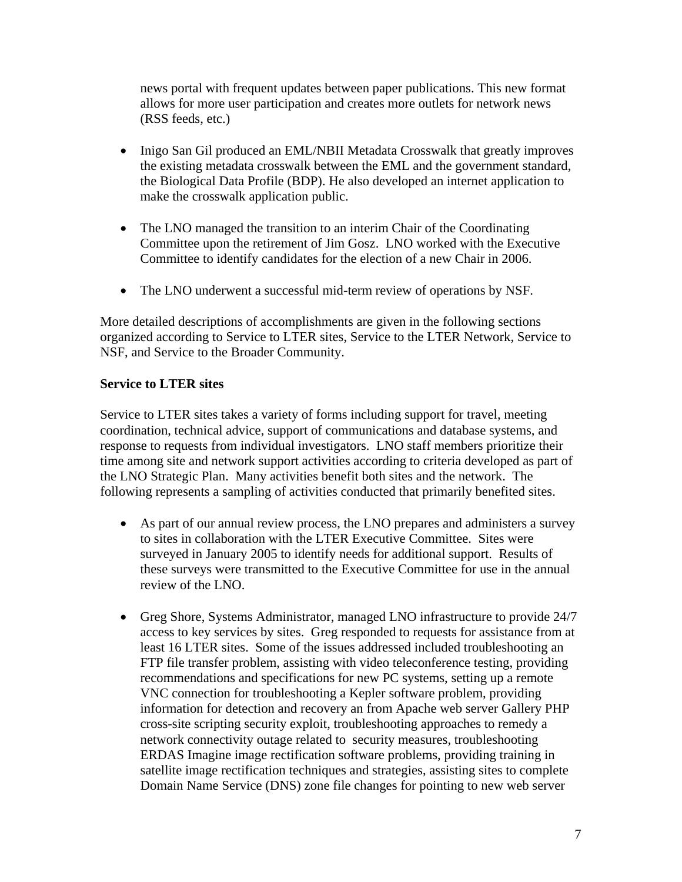news portal with frequent updates between paper publications. This new format allows for more user participation and creates more outlets for network news (RSS feeds, etc.)

- Inigo San Gil produced an EML/NBII Metadata Crosswalk that greatly improves the existing metadata crosswalk between the EML and the government standard, the Biological Data Profile (BDP). He also developed an internet application to make the crosswalk application public.
- The LNO managed the transition to an interim Chair of the Coordinating Committee upon the retirement of Jim Gosz. LNO worked with the Executive Committee to identify candidates for the election of a new Chair in 2006.
- The LNO underwent a successful mid-term review of operations by NSF.

More detailed descriptions of accomplishments are given in the following sections organized according to Service to LTER sites, Service to the LTER Network, Service to NSF, and Service to the Broader Community.

#### **Service to LTER sites**

Service to LTER sites takes a variety of forms including support for travel, meeting coordination, technical advice, support of communications and database systems, and response to requests from individual investigators. LNO staff members prioritize their time among site and network support activities according to criteria developed as part of the LNO Strategic Plan. Many activities benefit both sites and the network. The following represents a sampling of activities conducted that primarily benefited sites.

- As part of our annual review process, the LNO prepares and administers a survey to sites in collaboration with the LTER Executive Committee. Sites were surveyed in January 2005 to identify needs for additional support. Results of these surveys were transmitted to the Executive Committee for use in the annual review of the LNO.
- Greg Shore, Systems Administrator, managed LNO infrastructure to provide 24/7 access to key services by sites. Greg responded to requests for assistance from at least 16 LTER sites. Some of the issues addressed included troubleshooting an FTP file transfer problem, assisting with video teleconference testing, providing recommendations and specifications for new PC systems, setting up a remote VNC connection for troubleshooting a Kepler software problem, providing information for detection and recovery an from Apache web server Gallery PHP cross-site scripting security exploit, troubleshooting approaches to remedy a network connectivity outage related to security measures, troubleshooting ERDAS Imagine image rectification software problems, providing training in satellite image rectification techniques and strategies, assisting sites to complete Domain Name Service (DNS) zone file changes for pointing to new web server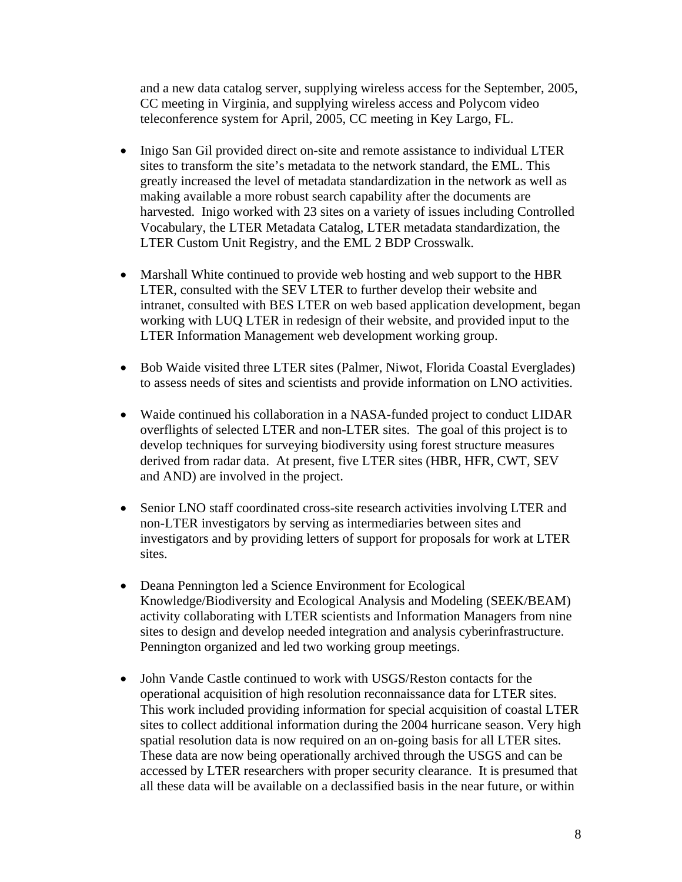and a new data catalog server, supplying wireless access for the September, 2005, CC meeting in Virginia, and supplying wireless access and Polycom video teleconference system for April, 2005, CC meeting in Key Largo, FL.

- Inigo San Gil provided direct on-site and remote assistance to individual LTER sites to transform the site's metadata to the network standard, the EML. This greatly increased the level of metadata standardization in the network as well as making available a more robust search capability after the documents are harvested. Inigo worked with 23 sites on a variety of issues including Controlled Vocabulary, the LTER Metadata Catalog, LTER metadata standardization, the LTER Custom Unit Registry, and the EML 2 BDP Crosswalk.
- Marshall White continued to provide web hosting and web support to the HBR LTER, consulted with the SEV LTER to further develop their website and intranet, consulted with BES LTER on web based application development, began working with LUQ LTER in redesign of their website, and provided input to the LTER Information Management web development working group.
- Bob Waide visited three LTER sites (Palmer, Niwot, Florida Coastal Everglades) to assess needs of sites and scientists and provide information on LNO activities.
- Waide continued his collaboration in a NASA-funded project to conduct LIDAR overflights of selected LTER and non-LTER sites. The goal of this project is to develop techniques for surveying biodiversity using forest structure measures derived from radar data. At present, five LTER sites (HBR, HFR, CWT, SEV and AND) are involved in the project.
- Senior LNO staff coordinated cross-site research activities involving LTER and non-LTER investigators by serving as intermediaries between sites and investigators and by providing letters of support for proposals for work at LTER sites.
- Deana Pennington led a Science Environment for Ecological Knowledge/Biodiversity and Ecological Analysis and Modeling (SEEK/BEAM) activity collaborating with LTER scientists and Information Managers from nine sites to design and develop needed integration and analysis cyberinfrastructure. Pennington organized and led two working group meetings.
- John Vande Castle continued to work with USGS/Reston contacts for the operational acquisition of high resolution reconnaissance data for LTER sites. This work included providing information for special acquisition of coastal LTER sites to collect additional information during the 2004 hurricane season. Very high spatial resolution data is now required on an on-going basis for all LTER sites. These data are now being operationally archived through the USGS and can be accessed by LTER researchers with proper security clearance. It is presumed that all these data will be available on a declassified basis in the near future, or within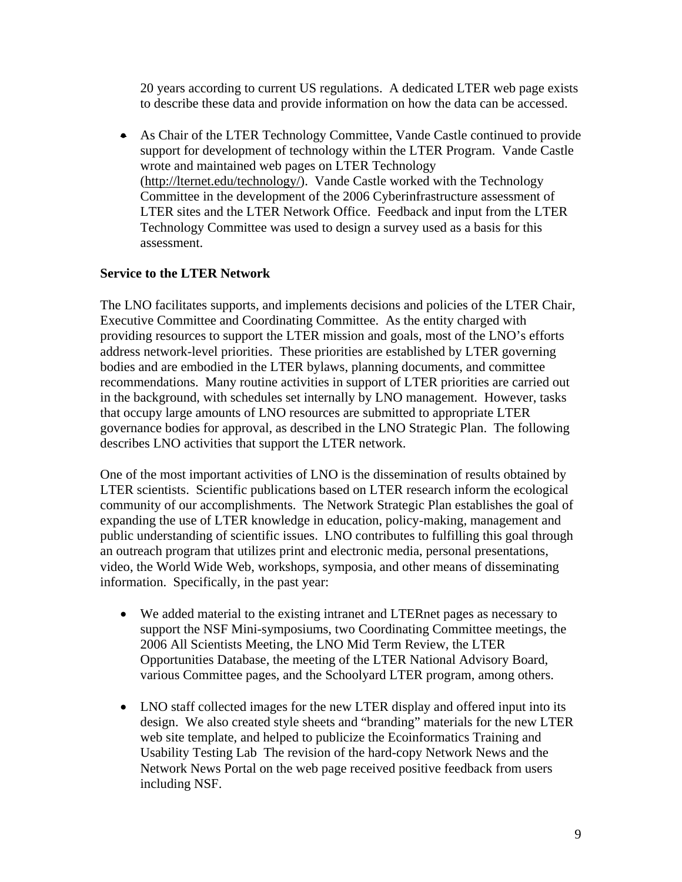20 years according to current US regulations. A dedicated LTER web page exists to describe these data and provide information on how the data can be accessed.

• As Chair of the LTER Technology Committee, Vande Castle continued to provide support for development of technology within the LTER Program. Vande Castle wrote and maintained web pages on LTER Technology ([http://lternet.edu/technology/\)](http://lternet.edu/technology/). Vande Castle worked with the Technology Committee in the development of the 2006 Cyberinfrastructure assessment of LTER sites and the LTER Network Office. Feedback and input from the LTER Technology Committee was used to design a survey used as a basis for this assessment.

#### **Service to the LTER Network**

The LNO facilitates supports, and implements decisions and policies of the LTER Chair, Executive Committee and Coordinating Committee. As the entity charged with providing resources to support the LTER mission and goals, most of the LNO's efforts address network-level priorities. These priorities are established by LTER governing bodies and are embodied in the LTER bylaws, planning documents, and committee recommendations. Many routine activities in support of LTER priorities are carried out in the background, with schedules set internally by LNO management. However, tasks that occupy large amounts of LNO resources are submitted to appropriate LTER governance bodies for approval, as described in the LNO Strategic Plan. The following describes LNO activities that support the LTER network.

One of the most important activities of LNO is the dissemination of results obtained by LTER scientists. Scientific publications based on LTER research inform the ecological community of our accomplishments. The Network Strategic Plan establishes the goal of expanding the use of LTER knowledge in education, policy-making, management and public understanding of scientific issues. LNO contributes to fulfilling this goal through an outreach program that utilizes print and electronic media, personal presentations, video, the World Wide Web, workshops, symposia, and other means of disseminating information. Specifically, in the past year:

- We added material to the existing intranet and LTERnet pages as necessary to support the NSF Mini-symposiums, two Coordinating Committee meetings, the 2006 All Scientists Meeting, the LNO Mid Term Review, the LTER Opportunities Database, the meeting of the LTER National Advisory Board, various Committee pages, and the Schoolyard LTER program, among others.
- LNO staff collected images for the new LTER display and offered input into its design. We also created style sheets and "branding" materials for the new LTER web site template, and helped to publicize the Ecoinformatics Training and Usability Testing Lab The revision of the hard-copy Network News and the Network News Portal on the web page received positive feedback from users including NSF.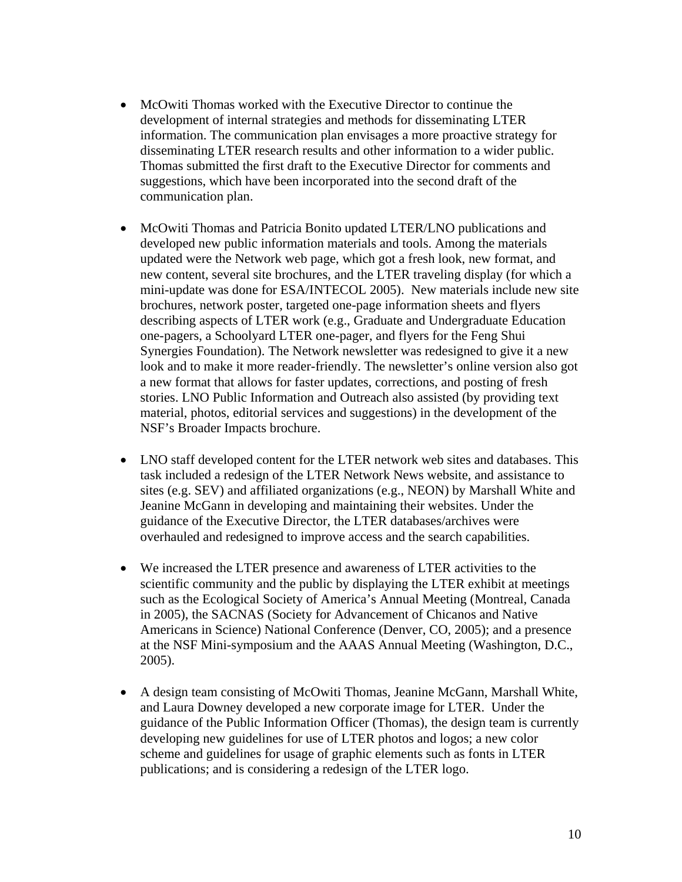- McOwiti Thomas worked with the Executive Director to continue the development of internal strategies and methods for disseminating LTER information. The communication plan envisages a more proactive strategy for disseminating LTER research results and other information to a wider public. Thomas submitted the first draft to the Executive Director for comments and suggestions, which have been incorporated into the second draft of the communication plan.
- McOwiti Thomas and Patricia Bonito updated LTER/LNO publications and developed new public information materials and tools. Among the materials updated were the Network web page, which got a fresh look, new format, and new content, several site brochures, and the LTER traveling display (for which a mini-update was done for ESA/INTECOL 2005). New materials include new site brochures, network poster, targeted one-page information sheets and flyers describing aspects of LTER work (e.g., Graduate and Undergraduate Education one-pagers, a Schoolyard LTER one-pager, and flyers for the Feng Shui Synergies Foundation). The Network newsletter was redesigned to give it a new look and to make it more reader-friendly. The newsletter's online version also got a new format that allows for faster updates, corrections, and posting of fresh stories. LNO Public Information and Outreach also assisted (by providing text material, photos, editorial services and suggestions) in the development of the NSF's Broader Impacts brochure.
- LNO staff developed content for the LTER network web sites and databases. This task included a redesign of the LTER Network News website, and assistance to sites (e.g. SEV) and affiliated organizations (e.g., NEON) by Marshall White and Jeanine McGann in developing and maintaining their websites. Under the guidance of the Executive Director, the LTER databases/archives were overhauled and redesigned to improve access and the search capabilities.
- We increased the LTER presence and awareness of LTER activities to the scientific community and the public by displaying the LTER exhibit at meetings such as the Ecological Society of America's Annual Meeting (Montreal, Canada in 2005), the SACNAS (Society for Advancement of Chicanos and Native Americans in Science) National Conference (Denver, CO, 2005); and a presence at the NSF Mini-symposium and the AAAS Annual Meeting (Washington, D.C., 2005).
- A design team consisting of McOwiti Thomas, Jeanine McGann, Marshall White, and Laura Downey developed a new corporate image for LTER. Under the guidance of the Public Information Officer (Thomas), the design team is currently developing new guidelines for use of LTER photos and logos; a new color scheme and guidelines for usage of graphic elements such as fonts in LTER publications; and is considering a redesign of the LTER logo.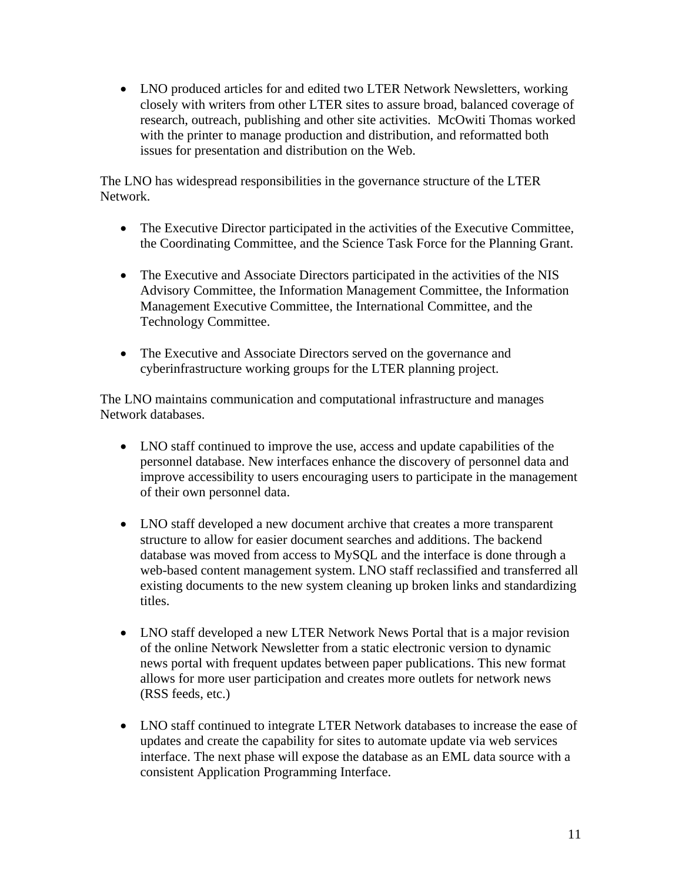• LNO produced articles for and edited two LTER Network Newsletters, working closely with writers from other LTER sites to assure broad, balanced coverage of research, outreach, publishing and other site activities. McOwiti Thomas worked with the printer to manage production and distribution, and reformatted both issues for presentation and distribution on the Web.

The LNO has widespread responsibilities in the governance structure of the LTER Network.

- The Executive Director participated in the activities of the Executive Committee, the Coordinating Committee, and the Science Task Force for the Planning Grant.
- The Executive and Associate Directors participated in the activities of the NIS Advisory Committee, the Information Management Committee, the Information Management Executive Committee, the International Committee, and the Technology Committee.
- The Executive and Associate Directors served on the governance and cyberinfrastructure working groups for the LTER planning project.

The LNO maintains communication and computational infrastructure and manages Network databases.

- LNO staff continued to improve the use, access and update capabilities of the personnel database. New interfaces enhance the discovery of personnel data and improve accessibility to users encouraging users to participate in the management of their own personnel data.
- LNO staff developed a new document archive that creates a more transparent structure to allow for easier document searches and additions. The backend database was moved from access to MySQL and the interface is done through a web-based content management system. LNO staff reclassified and transferred all existing documents to the new system cleaning up broken links and standardizing titles.
- LNO staff developed a new LTER Network News Portal that is a major revision of the online Network Newsletter from a static electronic version to dynamic news portal with frequent updates between paper publications. This new format allows for more user participation and creates more outlets for network news (RSS feeds, etc.)
- LNO staff continued to integrate LTER Network databases to increase the ease of updates and create the capability for sites to automate update via web services interface. The next phase will expose the database as an EML data source with a consistent Application Programming Interface.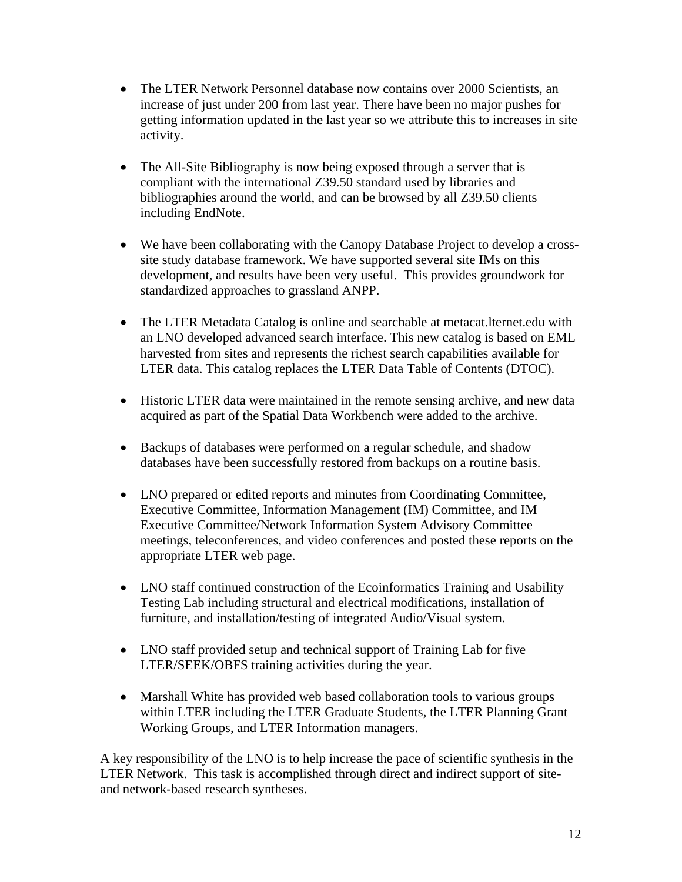- The LTER Network Personnel database now contains over 2000 Scientists, an increase of just under 200 from last year. There have been no major pushes for getting information updated in the last year so we attribute this to increases in site activity.
- The All-Site Bibliography is now being exposed through a server that is compliant with the international Z39.50 standard used by libraries and bibliographies around the world, and can be browsed by all Z39.50 clients including EndNote.
- We have been collaborating with the Canopy Database Project to develop a crosssite study database framework. We have supported several site IMs on this development, and results have been very useful. This provides groundwork for standardized approaches to grassland ANPP.
- The LTER Metadata Catalog is online and searchable at metacat. Iternet. edu with an LNO developed advanced search interface. This new catalog is based on EML harvested from sites and represents the richest search capabilities available for LTER data. This catalog replaces the LTER Data Table of Contents (DTOC).
- Historic LTER data were maintained in the remote sensing archive, and new data acquired as part of the Spatial Data Workbench were added to the archive.
- Backups of databases were performed on a regular schedule, and shadow databases have been successfully restored from backups on a routine basis.
- LNO prepared or edited reports and minutes from Coordinating Committee, Executive Committee, Information Management (IM) Committee, and IM Executive Committee/Network Information System Advisory Committee meetings, teleconferences, and video conferences and posted these reports on the appropriate LTER web page.
- LNO staff continued construction of the Ecoinformatics Training and Usability Testing Lab including structural and electrical modifications, installation of furniture, and installation/testing of integrated Audio/Visual system.
- LNO staff provided setup and technical support of Training Lab for five LTER/SEEK/OBFS training activities during the year.
- Marshall White has provided web based collaboration tools to various groups within LTER including the LTER Graduate Students, the LTER Planning Grant Working Groups, and LTER Information managers.

A key responsibility of the LNO is to help increase the pace of scientific synthesis in the LTER Network. This task is accomplished through direct and indirect support of siteand network-based research syntheses.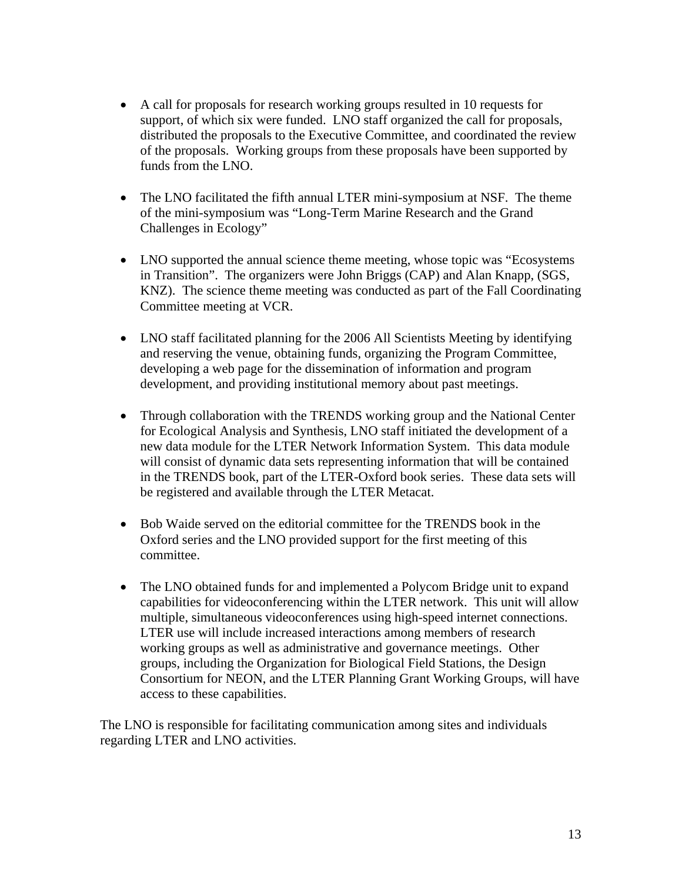- A call for proposals for research working groups resulted in 10 requests for support, of which six were funded. LNO staff organized the call for proposals, distributed the proposals to the Executive Committee, and coordinated the review of the proposals. Working groups from these proposals have been supported by funds from the LNO.
- The LNO facilitated the fifth annual LTER mini-symposium at NSF. The theme of the mini-symposium was "Long-Term Marine Research and the Grand Challenges in Ecology"
- LNO supported the annual science theme meeting, whose topic was "Ecosystems" in Transition". The organizers were John Briggs (CAP) and Alan Knapp, (SGS, KNZ). The science theme meeting was conducted as part of the Fall Coordinating Committee meeting at VCR.
- LNO staff facilitated planning for the 2006 All Scientists Meeting by identifying and reserving the venue, obtaining funds, organizing the Program Committee, developing a web page for the dissemination of information and program development, and providing institutional memory about past meetings.
- Through collaboration with the TRENDS working group and the National Center for Ecological Analysis and Synthesis, LNO staff initiated the development of a new data module for the LTER Network Information System. This data module will consist of dynamic data sets representing information that will be contained in the TRENDS book, part of the LTER-Oxford book series. These data sets will be registered and available through the LTER Metacat.
- Bob Waide served on the editorial committee for the TRENDS book in the Oxford series and the LNO provided support for the first meeting of this committee.
- The LNO obtained funds for and implemented a Polycom Bridge unit to expand capabilities for videoconferencing within the LTER network. This unit will allow multiple, simultaneous videoconferences using high-speed internet connections. LTER use will include increased interactions among members of research working groups as well as administrative and governance meetings. Other groups, including the Organization for Biological Field Stations, the Design Consortium for NEON, and the LTER Planning Grant Working Groups, will have access to these capabilities.

The LNO is responsible for facilitating communication among sites and individuals regarding LTER and LNO activities.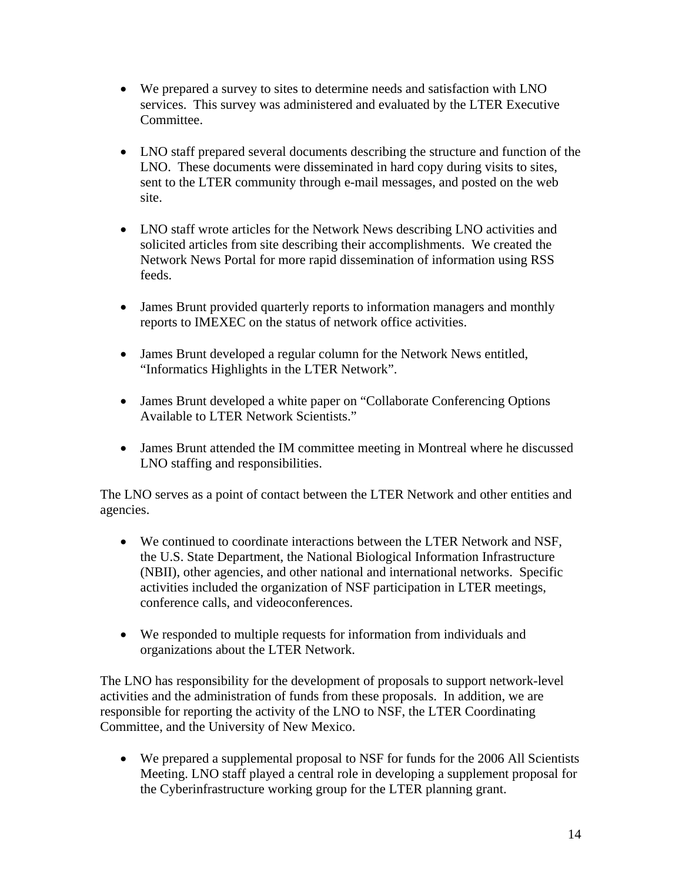- We prepared a survey to sites to determine needs and satisfaction with LNO services. This survey was administered and evaluated by the LTER Executive Committee.
- LNO staff prepared several documents describing the structure and function of the LNO. These documents were disseminated in hard copy during visits to sites, sent to the LTER community through e-mail messages, and posted on the web site.
- LNO staff wrote articles for the Network News describing LNO activities and solicited articles from site describing their accomplishments. We created the Network News Portal for more rapid dissemination of information using RSS feeds.
- James Brunt provided quarterly reports to information managers and monthly reports to IMEXEC on the status of network office activities.
- James Brunt developed a regular column for the Network News entitled, "Informatics Highlights in the LTER Network".
- James Brunt developed a white paper on "Collaborate Conferencing Options Available to LTER Network Scientists."
- James Brunt attended the IM committee meeting in Montreal where he discussed LNO staffing and responsibilities.

The LNO serves as a point of contact between the LTER Network and other entities and agencies.

- We continued to coordinate interactions between the LTER Network and NSF, the U.S. State Department, the National Biological Information Infrastructure (NBII), other agencies, and other national and international networks. Specific activities included the organization of NSF participation in LTER meetings, conference calls, and videoconferences.
- We responded to multiple requests for information from individuals and organizations about the LTER Network.

The LNO has responsibility for the development of proposals to support network-level activities and the administration of funds from these proposals. In addition, we are responsible for reporting the activity of the LNO to NSF, the LTER Coordinating Committee, and the University of New Mexico.

• We prepared a supplemental proposal to NSF for funds for the 2006 All Scientists Meeting. LNO staff played a central role in developing a supplement proposal for the Cyberinfrastructure working group for the LTER planning grant.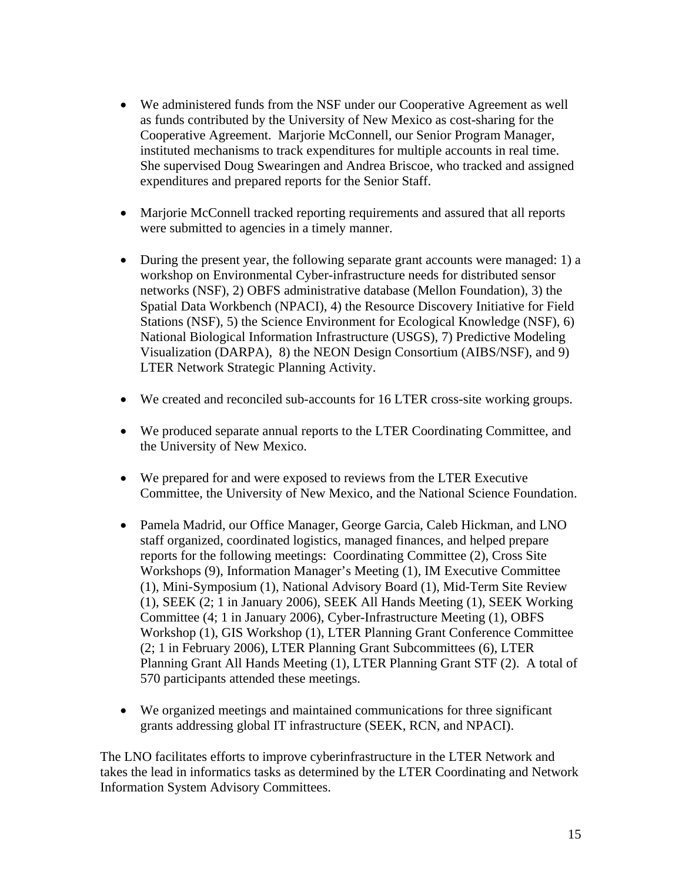- We administered funds from the NSF under our Cooperative Agreement as well as funds contributed by the University of New Mexico as cost-sharing for the Cooperative Agreement. Marjorie McConnell, our Senior Program Manager, instituted mechanisms to track expenditures for multiple accounts in real time. She supervised Doug Swearingen and Andrea Briscoe, who tracked and assigned expenditures and prepared reports for the Senior Staff.
- Marjorie McConnell tracked reporting requirements and assured that all reports were submitted to agencies in a timely manner.
- During the present year, the following separate grant accounts were managed: 1) a workshop on Environmental Cyber-infrastructure needs for distributed sensor networks (NSF), 2) OBFS administrative database (Mellon Foundation), 3) the Spatial Data Workbench (NPACI), 4) the Resource Discovery Initiative for Field Stations (NSF), 5) the Science Environment for Ecological Knowledge (NSF), 6) National Biological Information Infrastructure (USGS), 7) Predictive Modeling Visualization (DARPA), 8) the NEON Design Consortium (AIBS/NSF), and 9) LTER Network Strategic Planning Activity.
- We created and reconciled sub-accounts for 16 LTER cross-site working groups.
- We produced separate annual reports to the LTER Coordinating Committee, and the University of New Mexico.
- We prepared for and were exposed to reviews from the LTER Executive Committee, the University of New Mexico, and the National Science Foundation.
- Pamela Madrid, our Office Manager, George Garcia, Caleb Hickman, and LNO staff organized, coordinated logistics, managed finances, and helped prepare reports for the following meetings: Coordinating Committee (2), Cross Site Workshops (9), Information Manager's Meeting (1), IM Executive Committee (1), Mini-Symposium (1), National Advisory Board (1), Mid-Term Site Review (1), SEEK (2; 1 in January 2006), SEEK All Hands Meeting (1), SEEK Working Committee (4; 1 in January 2006), Cyber-Infrastructure Meeting (1), OBFS Workshop (1), GIS Workshop (1), LTER Planning Grant Conference Committee (2; 1 in February 2006), LTER Planning Grant Subcommittees (6), LTER Planning Grant All Hands Meeting (1), LTER Planning Grant STF (2). A total of 570 participants attended these meetings.
- We organized meetings and maintained communications for three significant grants addressing global IT infrastructure (SEEK, RCN, and NPACI).

The LNO facilitates efforts to improve cyberinfrastructure in the LTER Network and takes the lead in informatics tasks as determined by the LTER Coordinating and Network Information System Advisory Committees.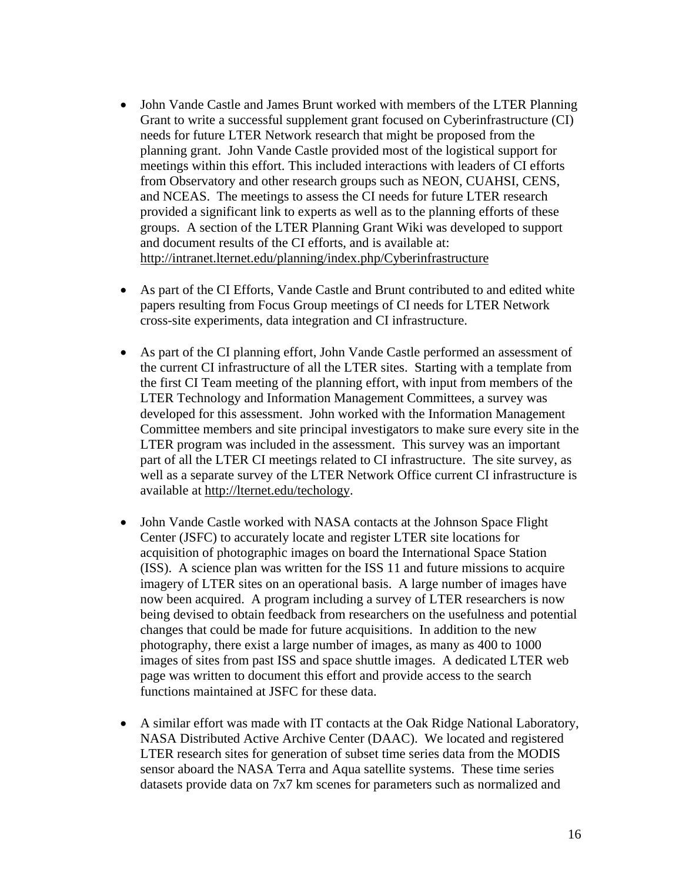- John Vande Castle and James Brunt worked with members of the LTER Planning Grant to write a successful supplement grant focused on Cyberinfrastructure (CI) needs for future LTER Network research that might be proposed from the planning grant. John Vande Castle provided most of the logistical support for meetings within this effort. This included interactions with leaders of CI efforts from Observatory and other research groups such as NEON, CUAHSI, CENS, and NCEAS. The meetings to assess the CI needs for future LTER research provided a significant link to experts as well as to the planning efforts of these groups. A section of the LTER Planning Grant Wiki was developed to support and document results of the CI efforts, and is available at: <http://intranet.lternet.edu/planning/index.php/Cyberinfrastructure>
- As part of the CI Efforts, Vande Castle and Brunt contributed to and edited white papers resulting from Focus Group meetings of CI needs for LTER Network cross-site experiments, data integration and CI infrastructure.
- As part of the CI planning effort, John Vande Castle performed an assessment of the current CI infrastructure of all the LTER sites. Starting with a template from the first CI Team meeting of the planning effort, with input from members of the LTER Technology and Information Management Committees, a survey was developed for this assessment. John worked with the Information Management Committee members and site principal investigators to make sure every site in the LTER program was included in the assessment. This survey was an important part of all the LTER CI meetings related to CI infrastructure. The site survey, as well as a separate survey of the LTER Network Office current CI infrastructure is available at<http://lternet.edu/techology>.
- John Vande Castle worked with NASA contacts at the Johnson Space Flight Center (JSFC) to accurately locate and register LTER site locations for acquisition of photographic images on board the International Space Station (ISS). A science plan was written for the ISS 11 and future missions to acquire imagery of LTER sites on an operational basis. A large number of images have now been acquired. A program including a survey of LTER researchers is now being devised to obtain feedback from researchers on the usefulness and potential changes that could be made for future acquisitions. In addition to the new photography, there exist a large number of images, as many as 400 to 1000 images of sites from past ISS and space shuttle images. A dedicated LTER web page was written to document this effort and provide access to the search functions maintained at JSFC for these data.
- A similar effort was made with IT contacts at the Oak Ridge National Laboratory, NASA Distributed Active Archive Center (DAAC). We located and registered LTER research sites for generation of subset time series data from the MODIS sensor aboard the NASA Terra and Aqua satellite systems. These time series datasets provide data on 7x7 km scenes for parameters such as normalized and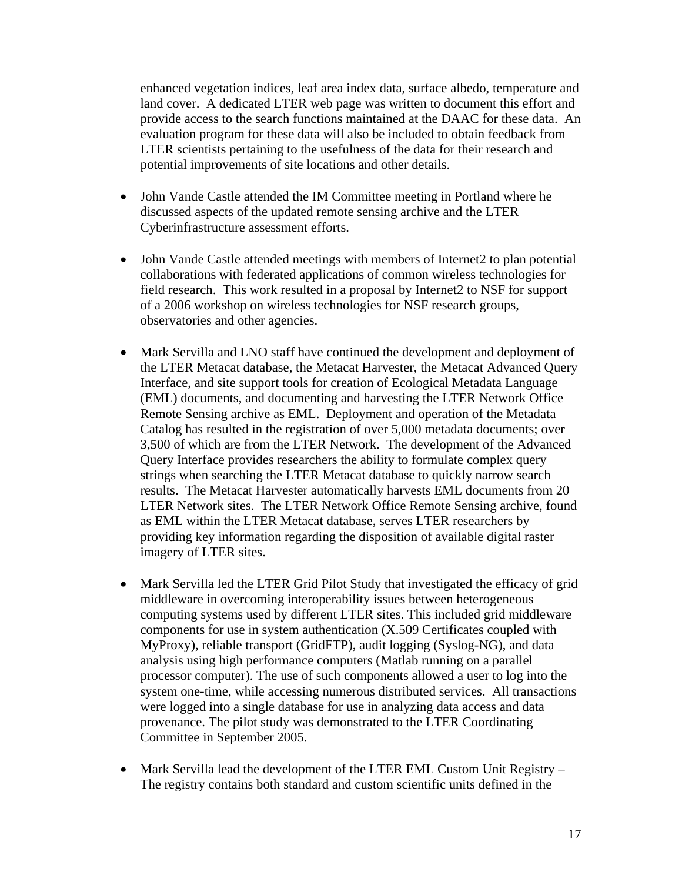enhanced vegetation indices, leaf area index data, surface albedo, temperature and land cover. A dedicated LTER web page was written to document this effort and provide access to the search functions maintained at the DAAC for these data. An evaluation program for these data will also be included to obtain feedback from LTER scientists pertaining to the usefulness of the data for their research and potential improvements of site locations and other details.

- John Vande Castle attended the IM Committee meeting in Portland where he discussed aspects of the updated remote sensing archive and the LTER Cyberinfrastructure assessment efforts.
- John Vande Castle attended meetings with members of Internet2 to plan potential collaborations with federated applications of common wireless technologies for field research. This work resulted in a proposal by Internet2 to NSF for support of a 2006 workshop on wireless technologies for NSF research groups, observatories and other agencies.
- Mark Servilla and LNO staff have continued the development and deployment of the LTER Metacat database, the Metacat Harvester, the Metacat Advanced Query Interface, and site support tools for creation of Ecological Metadata Language (EML) documents, and documenting and harvesting the LTER Network Office Remote Sensing archive as EML. Deployment and operation of the Metadata Catalog has resulted in the registration of over 5,000 metadata documents; over 3,500 of which are from the LTER Network. The development of the Advanced Query Interface provides researchers the ability to formulate complex query strings when searching the LTER Metacat database to quickly narrow search results. The Metacat Harvester automatically harvests EML documents from 20 LTER Network sites. The LTER Network Office Remote Sensing archive, found as EML within the LTER Metacat database, serves LTER researchers by providing key information regarding the disposition of available digital raster imagery of LTER sites.
- Mark Servilla led the LTER Grid Pilot Study that investigated the efficacy of grid middleware in overcoming interoperability issues between heterogeneous computing systems used by different LTER sites. This included grid middleware components for use in system authentication (X.509 Certificates coupled with MyProxy), reliable transport (GridFTP), audit logging (Syslog-NG), and data analysis using high performance computers (Matlab running on a parallel processor computer). The use of such components allowed a user to log into the system one-time, while accessing numerous distributed services. All transactions were logged into a single database for use in analyzing data access and data provenance. The pilot study was demonstrated to the LTER Coordinating Committee in September 2005.
- Mark Servilla lead the development of the LTER EML Custom Unit Registry The registry contains both standard and custom scientific units defined in the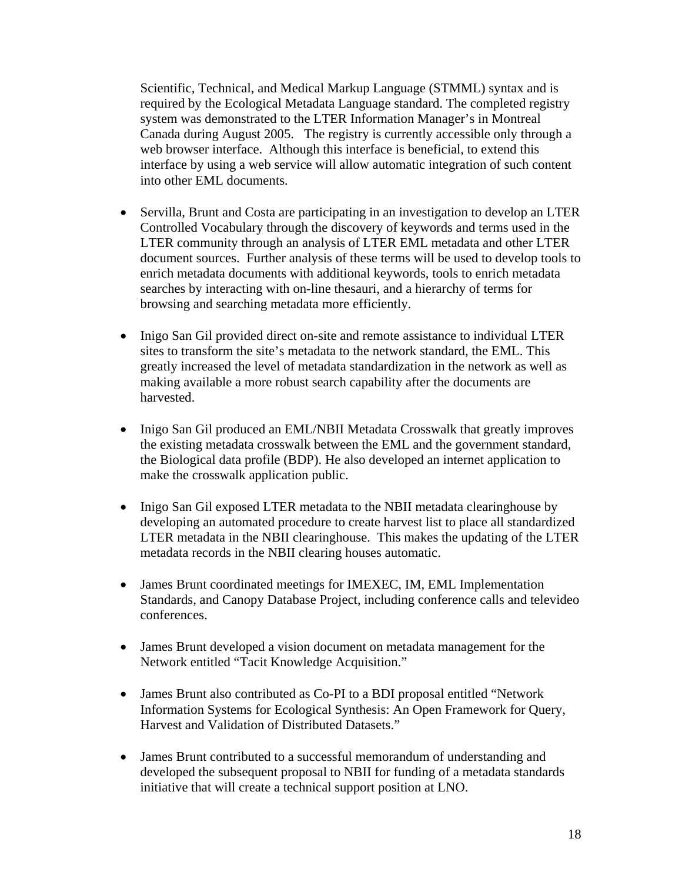Scientific, Technical, and Medical Markup Language (STMML) syntax and is required by the Ecological Metadata Language standard. The completed registry system was demonstrated to the LTER Information Manager's in Montreal Canada during August 2005. The registry is currently accessible only through a web browser interface. Although this interface is beneficial, to extend this interface by using a web service will allow automatic integration of such content into other EML documents.

- Servilla, Brunt and Costa are participating in an investigation to develop an LTER Controlled Vocabulary through the discovery of keywords and terms used in the LTER community through an analysis of LTER EML metadata and other LTER document sources. Further analysis of these terms will be used to develop tools to enrich metadata documents with additional keywords, tools to enrich metadata searches by interacting with on-line thesauri, and a hierarchy of terms for browsing and searching metadata more efficiently.
- Inigo San Gil provided direct on-site and remote assistance to individual LTER sites to transform the site's metadata to the network standard, the EML. This greatly increased the level of metadata standardization in the network as well as making available a more robust search capability after the documents are harvested.
- Inigo San Gil produced an EML/NBII Metadata Crosswalk that greatly improves the existing metadata crosswalk between the EML and the government standard, the Biological data profile (BDP). He also developed an internet application to make the crosswalk application public.
- Inigo San Gil exposed LTER metadata to the NBII metadata clearinghouse by developing an automated procedure to create harvest list to place all standardized LTER metadata in the NBII clearinghouse. This makes the updating of the LTER metadata records in the NBII clearing houses automatic.
- James Brunt coordinated meetings for IMEXEC, IM, EML Implementation Standards, and Canopy Database Project, including conference calls and televideo conferences.
- James Brunt developed a vision document on metadata management for the Network entitled "Tacit Knowledge Acquisition."
- James Brunt also contributed as Co-PI to a BDI proposal entitled "Network Information Systems for Ecological Synthesis: An Open Framework for Query, Harvest and Validation of Distributed Datasets."
- James Brunt contributed to a successful memorandum of understanding and developed the subsequent proposal to NBII for funding of a metadata standards initiative that will create a technical support position at LNO.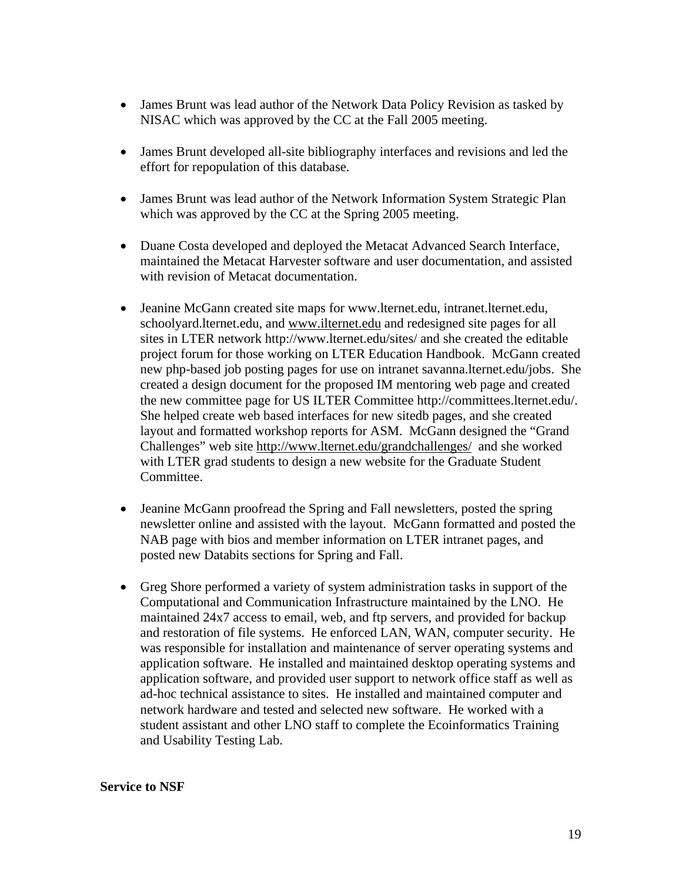- James Brunt was lead author of the Network Data Policy Revision as tasked by NISAC which was approved by the CC at the Fall 2005 meeting.
- James Brunt developed all-site bibliography interfaces and revisions and led the effort for repopulation of this database.
- James Brunt was lead author of the Network Information System Strategic Plan which was approved by the CC at the Spring 2005 meeting.
- Duane Costa developed and deployed the Metacat Advanced Search Interface, maintained the Metacat Harvester software and user documentation, and assisted with revision of Metacat documentation.
- Jeanine McGann created site maps for [www.lternet.edu,](http://www.lternet.edu/) intranet.lternet.edu, schoolyard.lternet.edu, and [www.ilternet.edu](http://www.ilternet.edu/) and redesigned site pages for all sites in LTER network<http://www.lternet.edu/sites/>and she created the editable project forum for those working on LTER Education Handbook. McGann created new php-based job posting pages for use on intranet savanna.lternet.edu/jobs. She created a design document for the proposed IM mentoring web page and created the new committee page for US ILTER Committee [http://committees.lternet.edu/.](http://committees.lternet.edu/) She helped create web based interfaces for new sitedb pages, and she created layout and formatted workshop reports for ASM. McGann designed the "Grand Challenges" web site<http://www.lternet.edu/grandchallenges/>and she worked with LTER grad students to design a new website for the Graduate Student Committee.
- Jeanine McGann proofread the Spring and Fall newsletters, posted the spring newsletter online and assisted with the layout. McGann formatted and posted the NAB page with bios and member information on LTER intranet pages, and posted new Databits sections for Spring and Fall.
- Greg Shore performed a variety of system administration tasks in support of the Computational and Communication Infrastructure maintained by the LNO. He maintained 24x7 access to email, web, and ftp servers, and provided for backup and restoration of file systems. He enforced LAN, WAN, computer security. He was responsible for installation and maintenance of server operating systems and application software. He installed and maintained desktop operating systems and application software, and provided user support to network office staff as well as ad-hoc technical assistance to sites. He installed and maintained computer and network hardware and tested and selected new software. He worked with a student assistant and other LNO staff to complete the Ecoinformatics Training and Usability Testing Lab.

#### **Service to NSF**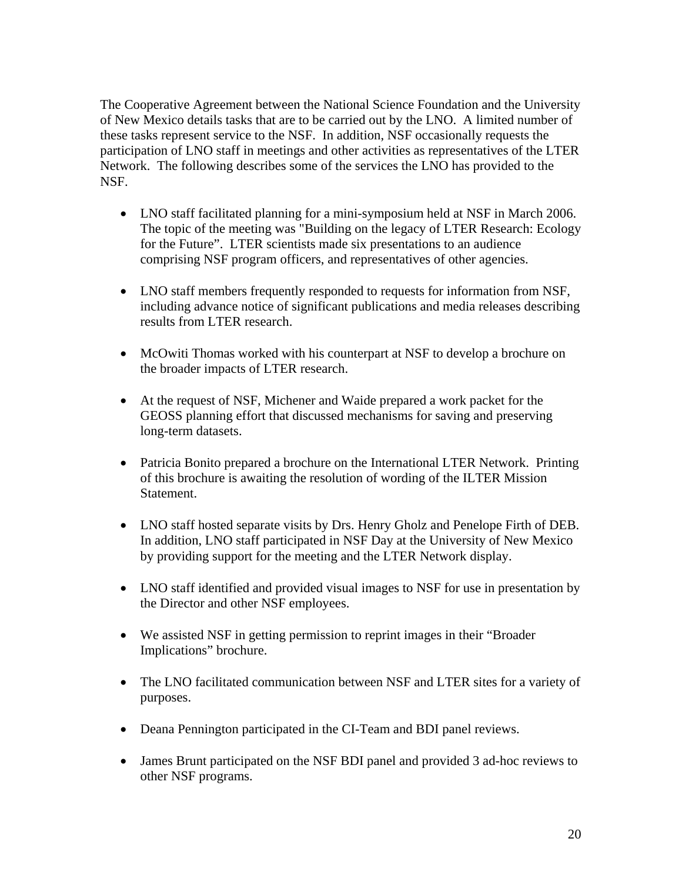The Cooperative Agreement between the National Science Foundation and the University of New Mexico details tasks that are to be carried out by the LNO. A limited number of these tasks represent service to the NSF. In addition, NSF occasionally requests the participation of LNO staff in meetings and other activities as representatives of the LTER Network. The following describes some of the services the LNO has provided to the NSF.

- LNO staff facilitated planning for a mini-symposium held at NSF in March 2006. The topic of the meeting was "Building on the legacy of LTER Research: Ecology for the Future". LTER scientists made six presentations to an audience comprising NSF program officers, and representatives of other agencies.
- LNO staff members frequently responded to requests for information from NSF, including advance notice of significant publications and media releases describing results from LTER research.
- McOwiti Thomas worked with his counterpart at NSF to develop a brochure on the broader impacts of LTER research.
- At the request of NSF, Michener and Waide prepared a work packet for the GEOSS planning effort that discussed mechanisms for saving and preserving long-term datasets.
- Patricia Bonito prepared a brochure on the International LTER Network. Printing of this brochure is awaiting the resolution of wording of the ILTER Mission Statement.
- LNO staff hosted separate visits by Drs. Henry Gholz and Penelope Firth of DEB. In addition, LNO staff participated in NSF Day at the University of New Mexico by providing support for the meeting and the LTER Network display.
- LNO staff identified and provided visual images to NSF for use in presentation by the Director and other NSF employees.
- We assisted NSF in getting permission to reprint images in their "Broader" Implications" brochure.
- The LNO facilitated communication between NSF and LTER sites for a variety of purposes.
- Deana Pennington participated in the CI-Team and BDI panel reviews.
- James Brunt participated on the NSF BDI panel and provided 3 ad-hoc reviews to other NSF programs.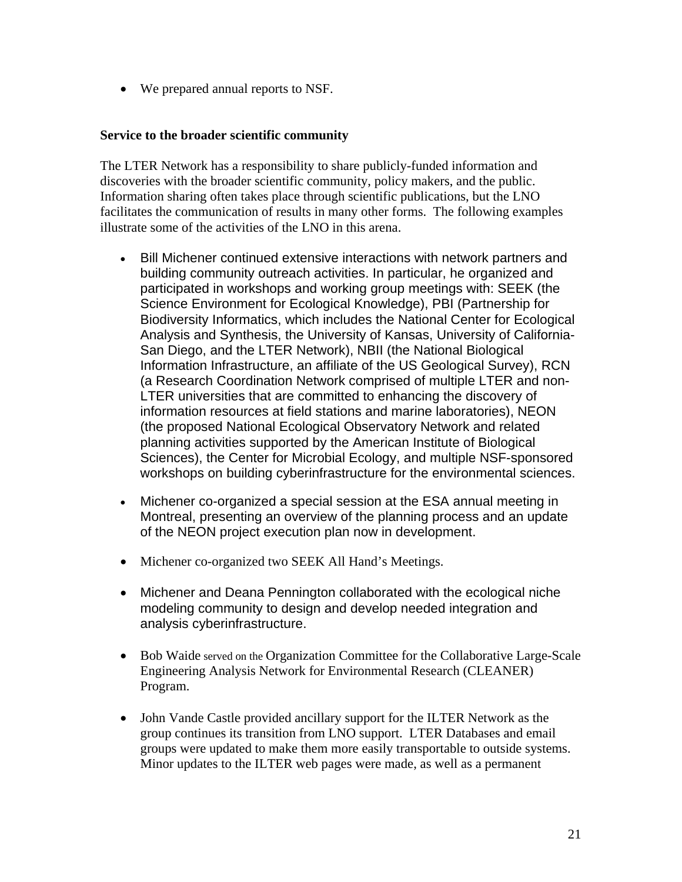• We prepared annual reports to NSF.

#### **Service to the broader scientific community**

The LTER Network has a responsibility to share publicly-funded information and discoveries with the broader scientific community, policy makers, and the public. Information sharing often takes place through scientific publications, but the LNO facilitates the communication of results in many other forms. The following examples illustrate some of the activities of the LNO in this arena.

- Bill Michener continued extensive interactions with network partners and building community outreach activities. In particular, he organized and participated in workshops and working group meetings with: SEEK (the Science Environment for Ecological Knowledge), PBI (Partnership for Biodiversity Informatics, which includes the National Center for Ecological Analysis and Synthesis, the University of Kansas, University of California-San Diego, and the LTER Network), NBII (the National Biological Information Infrastructure, an affiliate of the US Geological Survey), RCN (a Research Coordination Network comprised of multiple LTER and non-LTER universities that are committed to enhancing the discovery of information resources at field stations and marine laboratories), NEON (the proposed National Ecological Observatory Network and related planning activities supported by the American Institute of Biological Sciences), the Center for Microbial Ecology, and multiple NSF-sponsored workshops on building cyberinfrastructure for the environmental sciences.
- Michener co-organized a special session at the ESA annual meeting in Montreal, presenting an overview of the planning process and an update of the NEON project execution plan now in development.
- Michener co-organized two SEEK All Hand's Meetings.
- Michener and Deana Pennington collaborated with the ecological niche modeling community to design and develop needed integration and analysis cyberinfrastructure.
- Bob Waide served on the Organization Committee for the Collaborative Large-Scale Engineering Analysis Network for Environmental Research (CLEANER) Program.
- John Vande Castle provided ancillary support for the ILTER Network as the group continues its transition from LNO support. LTER Databases and email groups were updated to make them more easily transportable to outside systems. Minor updates to the ILTER web pages were made, as well as a permanent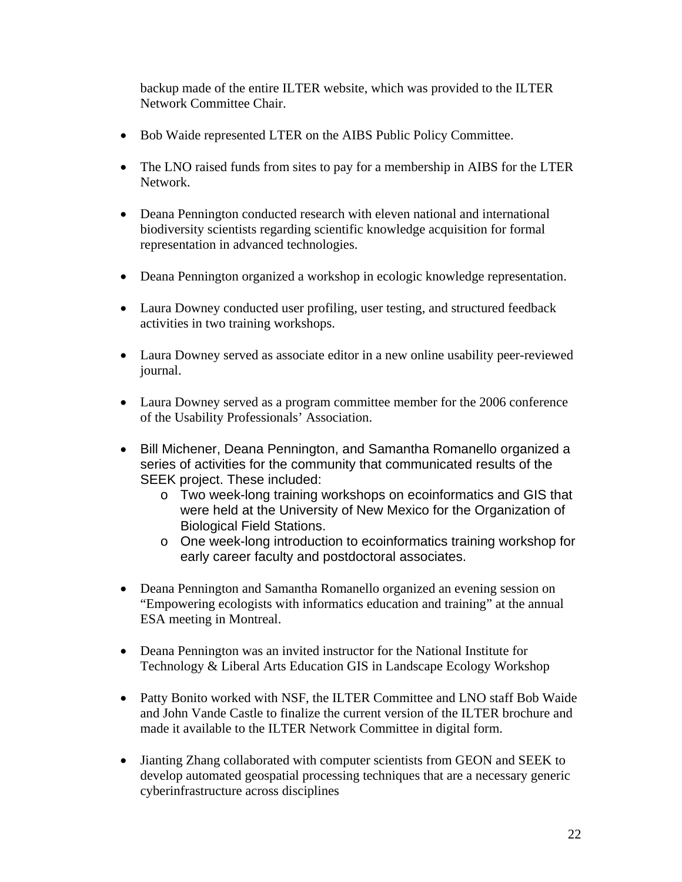backup made of the entire ILTER website, which was provided to the ILTER Network Committee Chair.

- Bob Waide represented LTER on the AIBS Public Policy Committee.
- The LNO raised funds from sites to pay for a membership in AIBS for the LTER Network.
- Deana Pennington conducted research with eleven national and international biodiversity scientists regarding scientific knowledge acquisition for formal representation in advanced technologies.
- Deana Pennington organized a workshop in ecologic knowledge representation.
- Laura Downey conducted user profiling, user testing, and structured feedback activities in two training workshops.
- Laura Downey served as associate editor in a new online usability peer-reviewed journal.
- Laura Downey served as a program committee member for the 2006 conference of the Usability Professionals' Association.
- Bill Michener, Deana Pennington, and Samantha Romanello organized a series of activities for the community that communicated results of the SEEK project. These included:
	- o Two week-long training workshops on ecoinformatics and GIS that were held at the University of New Mexico for the Organization of Biological Field Stations.
	- o One week-long introduction to ecoinformatics training workshop for early career faculty and postdoctoral associates.
- Deana Pennington and Samantha Romanello organized an evening session on "Empowering ecologists with informatics education and training" at the annual ESA meeting in Montreal.
- Deana Pennington was an invited instructor for the National Institute for Technology & Liberal Arts Education GIS in Landscape Ecology Workshop
- Patty Bonito worked with NSF, the ILTER Committee and LNO staff Bob Waide and John Vande Castle to finalize the current version of the ILTER brochure and made it available to the ILTER Network Committee in digital form.
- Jianting Zhang collaborated with computer scientists from GEON and SEEK to develop automated geospatial processing techniques that are a necessary generic cyberinfrastructure across disciplines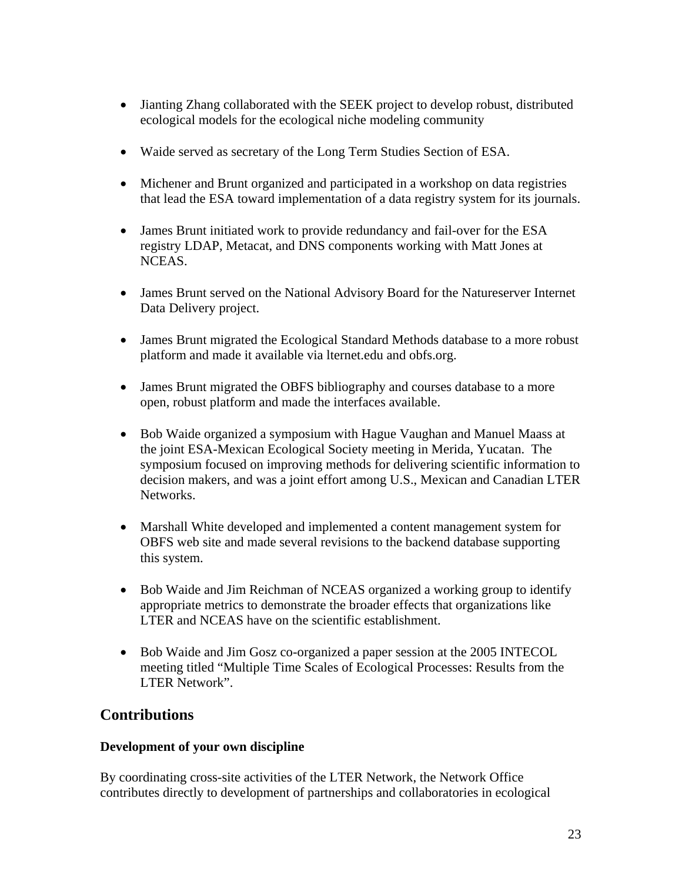- Jianting Zhang collaborated with the SEEK project to develop robust, distributed ecological models for the ecological niche modeling community
- Waide served as secretary of the Long Term Studies Section of ESA.
- Michener and Brunt organized and participated in a workshop on data registries that lead the ESA toward implementation of a data registry system for its journals.
- James Brunt initiated work to provide redundancy and fail-over for the ESA registry LDAP, Metacat, and DNS components working with Matt Jones at NCEAS.
- James Brunt served on the National Advisory Board for the Natureserver Internet Data Delivery project.
- James Brunt migrated the Ecological Standard Methods database to a more robust platform and made it available via lternet.edu and obfs.org.
- James Brunt migrated the OBFS bibliography and courses database to a more open, robust platform and made the interfaces available.
- Bob Waide organized a symposium with Hague Vaughan and Manuel Maass at the joint ESA-Mexican Ecological Society meeting in Merida, Yucatan. The symposium focused on improving methods for delivering scientific information to decision makers, and was a joint effort among U.S., Mexican and Canadian LTER Networks.
- Marshall White developed and implemented a content management system for OBFS web site and made several revisions to the backend database supporting this system.
- Bob Waide and Jim Reichman of NCEAS organized a working group to identify appropriate metrics to demonstrate the broader effects that organizations like LTER and NCEAS have on the scientific establishment.
- Bob Waide and Jim Gosz co-organized a paper session at the 2005 INTECOL meeting titled "Multiple Time Scales of Ecological Processes: Results from the LTER Network".

## **Contributions**

#### **Development of your own discipline**

By coordinating cross-site activities of the LTER Network, the Network Office contributes directly to development of partnerships and collaboratories in ecological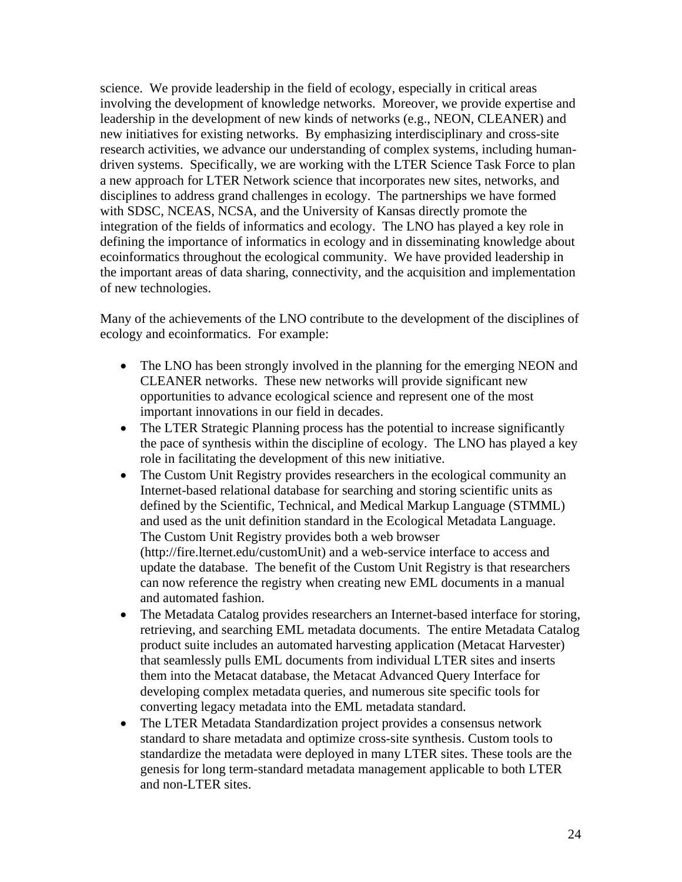science. We provide leadership in the field of ecology, especially in critical areas involving the development of knowledge networks. Moreover, we provide expertise and leadership in the development of new kinds of networks (e.g., NEON, CLEANER) and new initiatives for existing networks. By emphasizing interdisciplinary and cross-site research activities, we advance our understanding of complex systems, including humandriven systems. Specifically, we are working with the LTER Science Task Force to plan a new approach for LTER Network science that incorporates new sites, networks, and disciplines to address grand challenges in ecology. The partnerships we have formed with SDSC, NCEAS, NCSA, and the University of Kansas directly promote the integration of the fields of informatics and ecology. The LNO has played a key role in defining the importance of informatics in ecology and in disseminating knowledge about ecoinformatics throughout the ecological community. We have provided leadership in the important areas of data sharing, connectivity, and the acquisition and implementation of new technologies.

Many of the achievements of the LNO contribute to the development of the disciplines of ecology and ecoinformatics. For example:

- The LNO has been strongly involved in the planning for the emerging NEON and CLEANER networks. These new networks will provide significant new opportunities to advance ecological science and represent one of the most important innovations in our field in decades.
- The LTER Strategic Planning process has the potential to increase significantly the pace of synthesis within the discipline of ecology. The LNO has played a key role in facilitating the development of this new initiative.
- The Custom Unit Registry provides researchers in the ecological community an Internet-based relational database for searching and storing scientific units as defined by the Scientific, Technical, and Medical Markup Language (STMML) and used as the unit definition standard in the Ecological Metadata Language. The Custom Unit Registry provides both a web browser (http://fire.lternet.edu/customUnit) and a web-service interface to access and update the database. The benefit of the Custom Unit Registry is that researchers can now reference the registry when creating new EML documents in a manual and automated fashion.
- The Metadata Catalog provides researchers an Internet-based interface for storing, retrieving, and searching EML metadata documents. The entire Metadata Catalog product suite includes an automated harvesting application (Metacat Harvester) that seamlessly pulls EML documents from individual LTER sites and inserts them into the Metacat database, the Metacat Advanced Query Interface for developing complex metadata queries, and numerous site specific tools for converting legacy metadata into the EML metadata standard.
- The LTER Metadata Standardization project provides a consensus network standard to share metadata and optimize cross-site synthesis. Custom tools to standardize the metadata were deployed in many LTER sites. These tools are the genesis for long term-standard metadata management applicable to both LTER and non-LTER sites.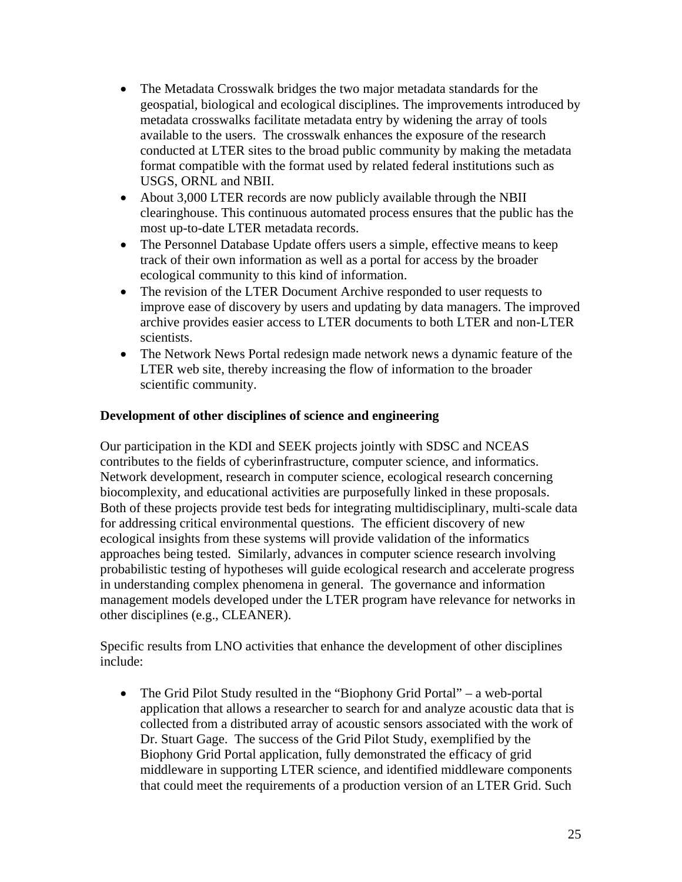- The Metadata Crosswalk bridges the two major metadata standards for the geospatial, biological and ecological disciplines. The improvements introduced by metadata crosswalks facilitate metadata entry by widening the array of tools available to the users. The crosswalk enhances the exposure of the research conducted at LTER sites to the broad public community by making the metadata format compatible with the format used by related federal institutions such as USGS, ORNL and NBII.
- About 3,000 LTER records are now publicly available through the NBII clearinghouse. This continuous automated process ensures that the public has the most up-to-date LTER metadata records.
- The Personnel Database Update offers users a simple, effective means to keep track of their own information as well as a portal for access by the broader ecological community to this kind of information.
- The revision of the LTER Document Archive responded to user requests to improve ease of discovery by users and updating by data managers. The improved archive provides easier access to LTER documents to both LTER and non-LTER scientists.
- The Network News Portal redesign made network news a dynamic feature of the LTER web site, thereby increasing the flow of information to the broader scientific community.

#### **Development of other disciplines of science and engineering**

Our participation in the KDI and SEEK projects jointly with SDSC and NCEAS contributes to the fields of cyberinfrastructure, computer science, and informatics. Network development, research in computer science, ecological research concerning biocomplexity, and educational activities are purposefully linked in these proposals. Both of these projects provide test beds for integrating multidisciplinary, multi-scale data for addressing critical environmental questions. The efficient discovery of new ecological insights from these systems will provide validation of the informatics approaches being tested. Similarly, advances in computer science research involving probabilistic testing of hypotheses will guide ecological research and accelerate progress in understanding complex phenomena in general. The governance and information management models developed under the LTER program have relevance for networks in other disciplines (e.g., CLEANER).

Specific results from LNO activities that enhance the development of other disciplines include:

• The Grid Pilot Study resulted in the "Biophony Grid Portal" – a web-portal application that allows a researcher to search for and analyze acoustic data that is collected from a distributed array of acoustic sensors associated with the work of Dr. Stuart Gage. The success of the Grid Pilot Study, exemplified by the Biophony Grid Portal application, fully demonstrated the efficacy of grid middleware in supporting LTER science, and identified middleware components that could meet the requirements of a production version of an LTER Grid. Such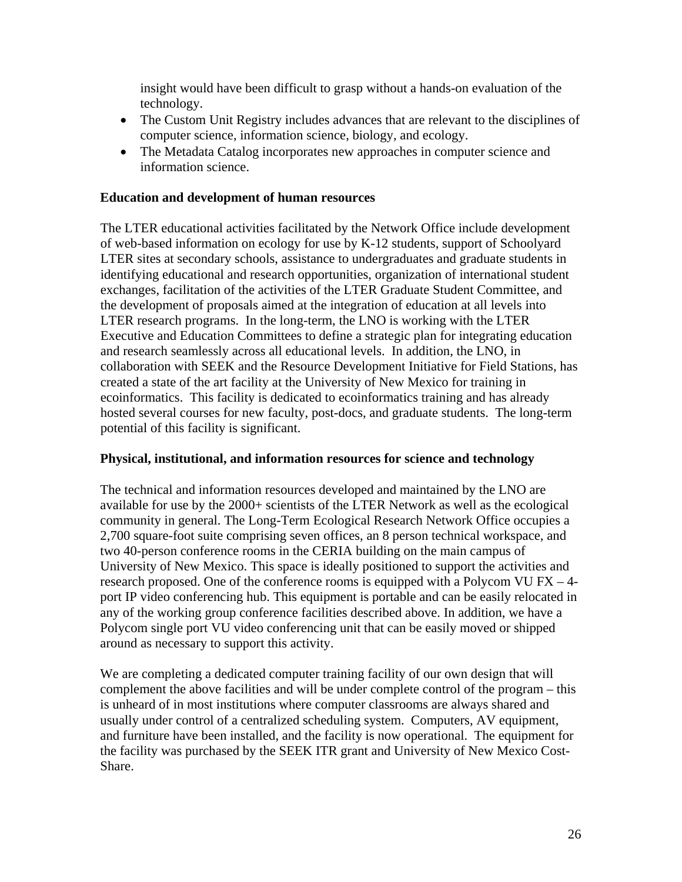insight would have been difficult to grasp without a hands-on evaluation of the technology.

- The Custom Unit Registry includes advances that are relevant to the disciplines of computer science, information science, biology, and ecology.
- The Metadata Catalog incorporates new approaches in computer science and information science.

#### **Education and development of human resources**

The LTER educational activities facilitated by the Network Office include development of web-based information on ecology for use by K-12 students, support of Schoolyard LTER sites at secondary schools, assistance to undergraduates and graduate students in identifying educational and research opportunities, organization of international student exchanges, facilitation of the activities of the LTER Graduate Student Committee, and the development of proposals aimed at the integration of education at all levels into LTER research programs. In the long-term, the LNO is working with the LTER Executive and Education Committees to define a strategic plan for integrating education and research seamlessly across all educational levels. In addition, the LNO, in collaboration with SEEK and the Resource Development Initiative for Field Stations, has created a state of the art facility at the University of New Mexico for training in ecoinformatics. This facility is dedicated to ecoinformatics training and has already hosted several courses for new faculty, post-docs, and graduate students. The long-term potential of this facility is significant.

#### **Physical, institutional, and information resources for science and technology**

The technical and information resources developed and maintained by the LNO are available for use by the 2000+ scientists of the LTER Network as well as the ecological community in general. The Long-Term Ecological Research Network Office occupies a 2,700 square-foot suite comprising seven offices, an 8 person technical workspace, and two 40-person conference rooms in the CERIA building on the main campus of University of New Mexico. This space is ideally positioned to support the activities and research proposed. One of the conference rooms is equipped with a Polycom VU FX – 4 port IP video conferencing hub. This equipment is portable and can be easily relocated in any of the working group conference facilities described above. In addition, we have a Polycom single port VU video conferencing unit that can be easily moved or shipped around as necessary to support this activity.

We are completing a dedicated computer training facility of our own design that will complement the above facilities and will be under complete control of the program – this is unheard of in most institutions where computer classrooms are always shared and usually under control of a centralized scheduling system. Computers, AV equipment, and furniture have been installed, and the facility is now operational. The equipment for the facility was purchased by the SEEK ITR grant and University of New Mexico Cost-Share.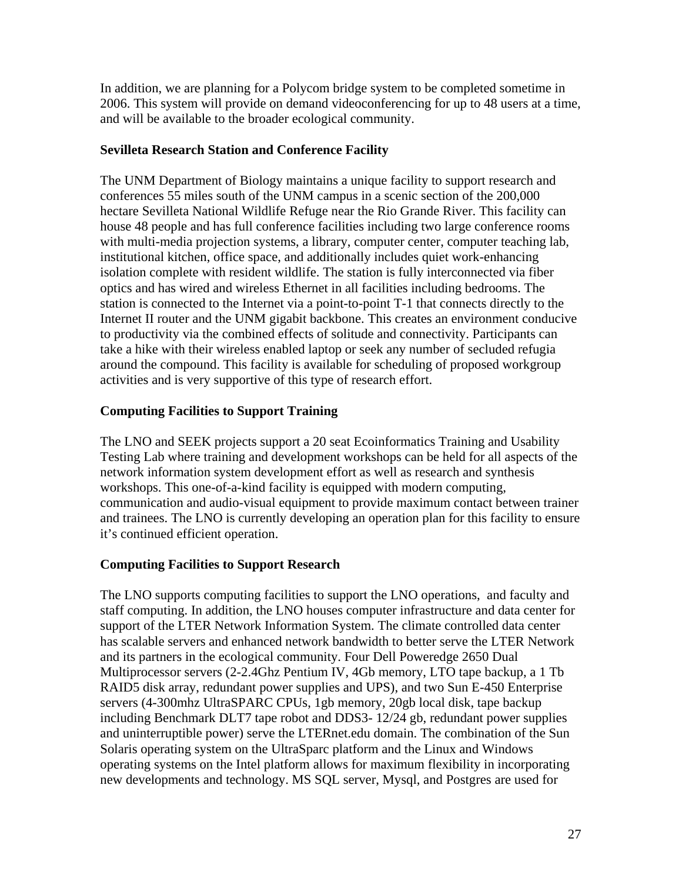In addition, we are planning for a Polycom bridge system to be completed sometime in 2006. This system will provide on demand videoconferencing for up to 48 users at a time, and will be available to the broader ecological community.

## **Sevilleta Research Station and Conference Facility**

The UNM Department of Biology maintains a unique facility to support research and conferences 55 miles south of the UNM campus in a scenic section of the 200,000 hectare Sevilleta National Wildlife Refuge near the Rio Grande River. This facility can house 48 people and has full conference facilities including two large conference rooms with multi-media projection systems, a library, computer center, computer teaching lab, institutional kitchen, office space, and additionally includes quiet work-enhancing isolation complete with resident wildlife. The station is fully interconnected via fiber optics and has wired and wireless Ethernet in all facilities including bedrooms. The station is connected to the Internet via a point-to-point T-1 that connects directly to the Internet II router and the UNM gigabit backbone. This creates an environment conducive to productivity via the combined effects of solitude and connectivity. Participants can take a hike with their wireless enabled laptop or seek any number of secluded refugia around the compound. This facility is available for scheduling of proposed workgroup activities and is very supportive of this type of research effort.

## **Computing Facilities to Support Training**

The LNO and SEEK projects support a 20 seat Ecoinformatics Training and Usability Testing Lab where training and development workshops can be held for all aspects of the network information system development effort as well as research and synthesis workshops. This one-of-a-kind facility is equipped with modern computing, communication and audio-visual equipment to provide maximum contact between trainer and trainees. The LNO is currently developing an operation plan for this facility to ensure it's continued efficient operation.

## **Computing Facilities to Support Research**

The LNO supports computing facilities to support the LNO operations, and faculty and staff computing. In addition, the LNO houses computer infrastructure and data center for support of the LTER Network Information System. The climate controlled data center has scalable servers and enhanced network bandwidth to better serve the LTER Network and its partners in the ecological community. Four Dell Poweredge 2650 Dual Multiprocessor servers (2-2.4Ghz Pentium IV, 4Gb memory, LTO tape backup, a 1 Tb RAID5 disk array, redundant power supplies and UPS), and two Sun E-450 Enterprise servers (4-300mhz UltraSPARC CPUs, 1gb memory, 20gb local disk, tape backup including Benchmark DLT7 tape robot and DDS3- 12/24 gb, redundant power supplies and uninterruptible power) serve the LTERnet.edu domain. The combination of the Sun Solaris operating system on the UltraSparc platform and the Linux and Windows operating systems on the Intel platform allows for maximum flexibility in incorporating new developments and technology. MS SQL server, Mysql, and Postgres are used for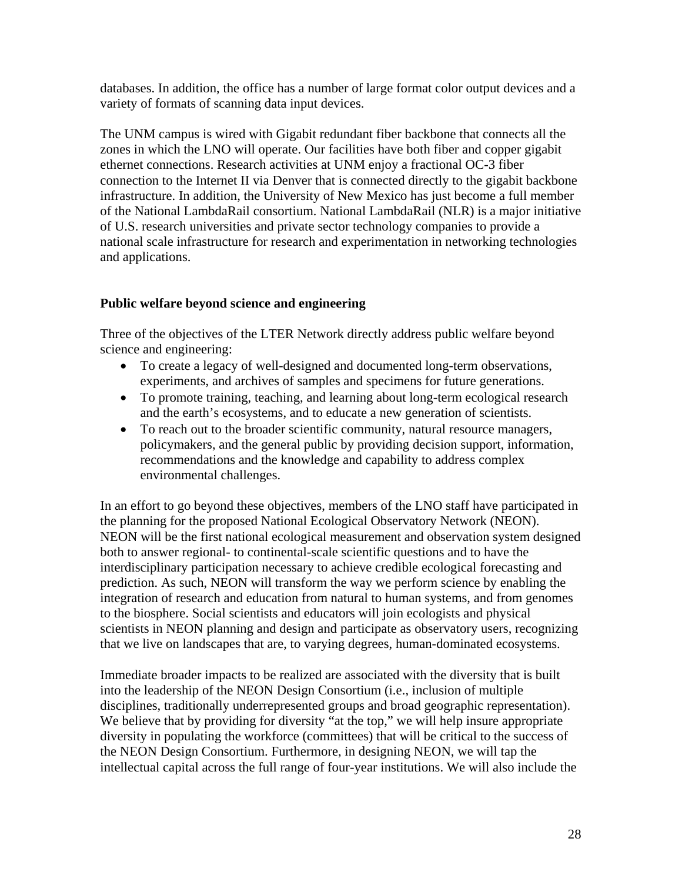databases. In addition, the office has a number of large format color output devices and a variety of formats of scanning data input devices.

The UNM campus is wired with Gigabit redundant fiber backbone that connects all the zones in which the LNO will operate. Our facilities have both fiber and copper gigabit ethernet connections. Research activities at UNM enjoy a fractional OC-3 fiber connection to the Internet II via Denver that is connected directly to the gigabit backbone infrastructure. In addition, the University of New Mexico has just become a full member of the National LambdaRail consortium. National LambdaRail (NLR) is a major initiative of U.S. research universities and private sector technology companies to provide a national scale infrastructure for research and experimentation in networking technologies and applications.

## **Public welfare beyond science and engineering**

Three of the objectives of the LTER Network directly address public welfare beyond science and engineering:

- To create a legacy of well-designed and documented long-term observations, experiments, and archives of samples and specimens for future generations.
- To promote training, teaching, and learning about long-term ecological research and the earth's ecosystems, and to educate a new generation of scientists.
- To reach out to the broader scientific community, natural resource managers, policymakers, and the general public by providing decision support, information, recommendations and the knowledge and capability to address complex environmental challenges.

In an effort to go beyond these objectives, members of the LNO staff have participated in the planning for the proposed National Ecological Observatory Network (NEON). NEON will be the first national ecological measurement and observation system designed both to answer regional- to continental-scale scientific questions and to have the interdisciplinary participation necessary to achieve credible ecological forecasting and prediction. As such, NEON will transform the way we perform science by enabling the integration of research and education from natural to human systems, and from genomes to the biosphere. Social scientists and educators will join ecologists and physical scientists in NEON planning and design and participate as observatory users, recognizing that we live on landscapes that are, to varying degrees, human-dominated ecosystems.

Immediate broader impacts to be realized are associated with the diversity that is built into the leadership of the NEON Design Consortium (i.e., inclusion of multiple disciplines, traditionally underrepresented groups and broad geographic representation). We believe that by providing for diversity "at the top," we will help insure appropriate diversity in populating the workforce (committees) that will be critical to the success of the NEON Design Consortium. Furthermore, in designing NEON, we will tap the intellectual capital across the full range of four-year institutions. We will also include the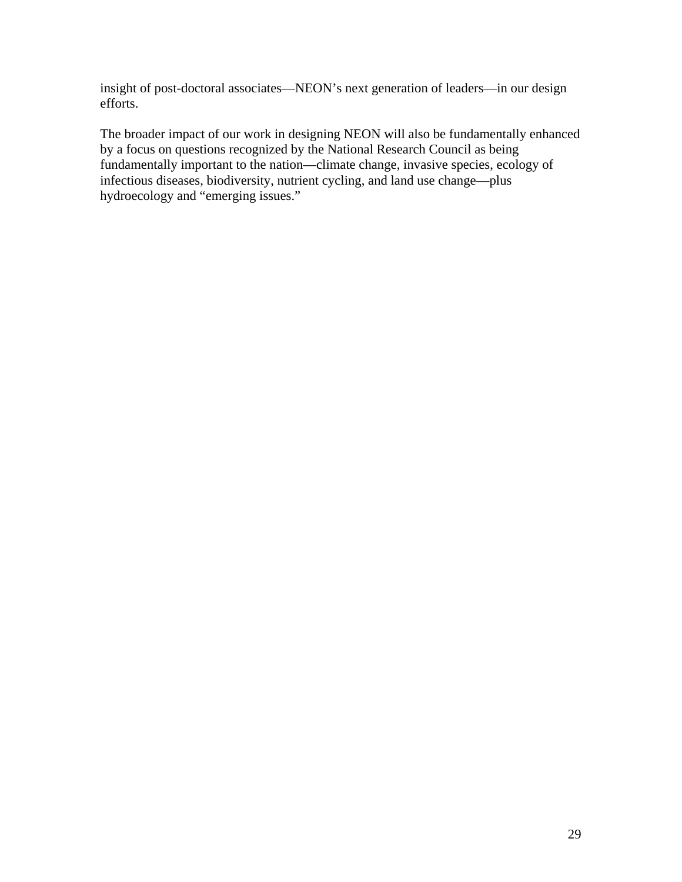insight of post-doctoral associates—NEON's next generation of leaders—in our design efforts.

The broader impact of our work in designing NEON will also be fundamentally enhanced by a focus on questions recognized by the National Research Council as being fundamentally important to the nation—climate change, invasive species, ecology of infectious diseases, biodiversity, nutrient cycling, and land use change—plus hydroecology and "emerging issues."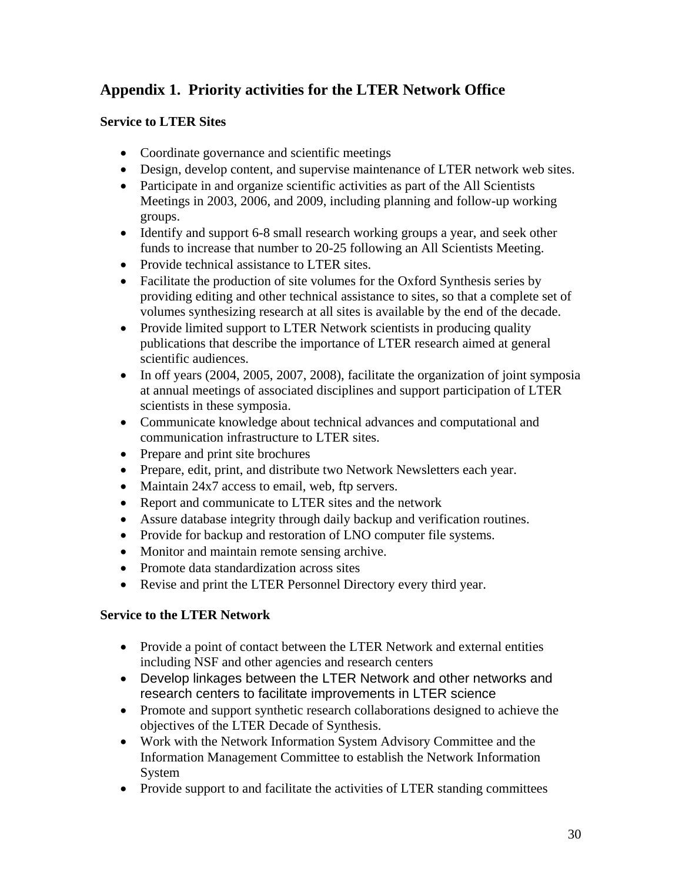# **Appendix 1. Priority activities for the LTER Network Office**

## **Service to LTER Sites**

- Coordinate governance and scientific meetings
- Design, develop content, and supervise maintenance of LTER network web sites.
- Participate in and organize scientific activities as part of the All Scientists Meetings in 2003, 2006, and 2009, including planning and follow-up working groups.
- Identify and support 6-8 small research working groups a year, and seek other funds to increase that number to 20-25 following an All Scientists Meeting.
- Provide technical assistance to LTER sites.
- Facilitate the production of site volumes for the Oxford Synthesis series by providing editing and other technical assistance to sites, so that a complete set of volumes synthesizing research at all sites is available by the end of the decade.
- Provide limited support to LTER Network scientists in producing quality publications that describe the importance of LTER research aimed at general scientific audiences.
- In off years (2004, 2005, 2007, 2008), facilitate the organization of joint symposia at annual meetings of associated disciplines and support participation of LTER scientists in these symposia.
- Communicate knowledge about technical advances and computational and communication infrastructure to LTER sites.
- Prepare and print site brochures
- Prepare, edit, print, and distribute two Network Newsletters each year.
- Maintain 24x7 access to email, web, ftp servers.
- Report and communicate to LTER sites and the network
- Assure database integrity through daily backup and verification routines.
- Provide for backup and restoration of LNO computer file systems.
- Monitor and maintain remote sensing archive.
- Promote data standardization across sites
- Revise and print the LTER Personnel Directory every third year.

## **Service to the LTER Network**

- Provide a point of contact between the LTER Network and external entities including NSF and other agencies and research centers
- Develop linkages between the LTER Network and other networks and research centers to facilitate improvements in LTER science
- Promote and support synthetic research collaborations designed to achieve the objectives of the LTER Decade of Synthesis.
- Work with the Network Information System Advisory Committee and the Information Management Committee to establish the Network Information System
- Provide support to and facilitate the activities of LTER standing committees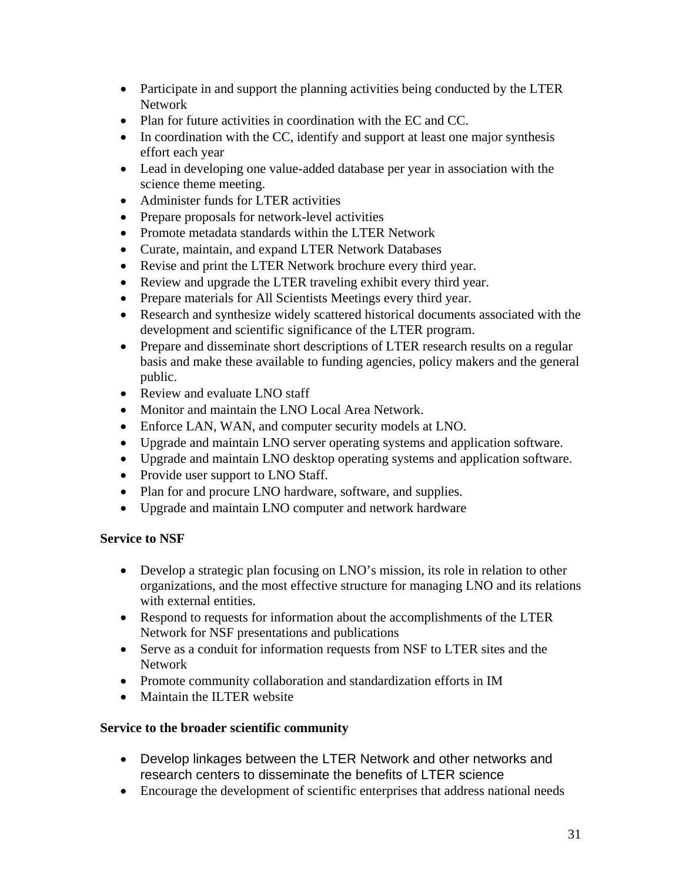- Participate in and support the planning activities being conducted by the LTER Network
- Plan for future activities in coordination with the EC and CC.
- In coordination with the CC, identify and support at least one major synthesis effort each year
- Lead in developing one value-added database per year in association with the science theme meeting.
- Administer funds for LTER activities
- Prepare proposals for network-level activities
- Promote metadata standards within the LTER Network
- Curate, maintain, and expand LTER Network Databases
- Revise and print the LTER Network brochure every third year.
- Review and upgrade the LTER traveling exhibit every third year.
- Prepare materials for All Scientists Meetings every third year.
- Research and synthesize widely scattered historical documents associated with the development and scientific significance of the LTER program.
- Prepare and disseminate short descriptions of LTER research results on a regular basis and make these available to funding agencies, policy makers and the general public.
- Review and evaluate LNO staff
- Monitor and maintain the LNO Local Area Network.
- Enforce LAN, WAN, and computer security models at LNO.
- Upgrade and maintain LNO server operating systems and application software.
- Upgrade and maintain LNO desktop operating systems and application software.
- Provide user support to LNO Staff.
- Plan for and procure LNO hardware, software, and supplies.
- Upgrade and maintain LNO computer and network hardware

#### **Service to NSF**

- Develop a strategic plan focusing on LNO's mission, its role in relation to other organizations, and the most effective structure for managing LNO and its relations with external entities.
- Respond to requests for information about the accomplishments of the LTER Network for NSF presentations and publications
- Serve as a conduit for information requests from NSF to LTER sites and the Network
- Promote community collaboration and standardization efforts in IM
- Maintain the ILTER website

#### **Service to the broader scientific community**

- Develop linkages between the LTER Network and other networks and research centers to disseminate the benefits of LTER science
- Encourage the development of scientific enterprises that address national needs